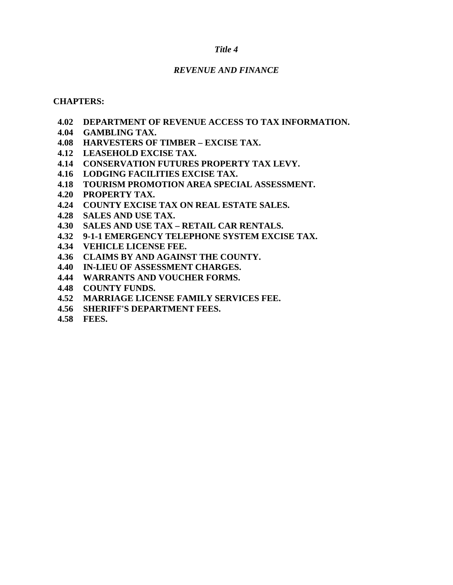### *Title 4*

### *REVENUE AND FINANCE*

### **CHAPTERS:**

- **4.02 DEPARTMENT OF REVENUE ACCESS TO TAX INFORMATION.**
- **4.04 GAMBLING TAX.**
- **4.08 HARVESTERS OF TIMBER EXCISE TAX.**
- **4.12 LEASEHOLD EXCISE TAX.**
- **4.14 CONSERVATION FUTURES PROPERTY TAX LEVY.**
- **4.16 LODGING FACILITIES EXCISE TAX.**
- **4.18 TOURISM PROMOTION AREA SPECIAL ASSESSMENT.**
- **4.20 PROPERTY TAX.**
- **4.24 COUNTY EXCISE TAX ON REAL ESTATE SALES.**
- **4.28 SALES AND USE TAX.**
- **4.30 SALES AND USE TAX RETAIL CAR RENTALS.**
- **4.32 9-1-1 EMERGENCY TELEPHONE SYSTEM EXCISE TAX.**
- **4.34 VEHICLE LICENSE FEE.**
- **4.36 CLAIMS BY AND AGAINST THE COUNTY.**
- **4.40 IN-LIEU OF ASSESSMENT CHARGES.**
- **4.44 WARRANTS AND VOUCHER FORMS.**
- **4.48 COUNTY FUNDS.**
- **4.52 MARRIAGE LICENSE FAMILY SERVICES FEE.**
- **4.56 SHERIFF'S DEPARTMENT FEES.**
- **4.58 FEES.**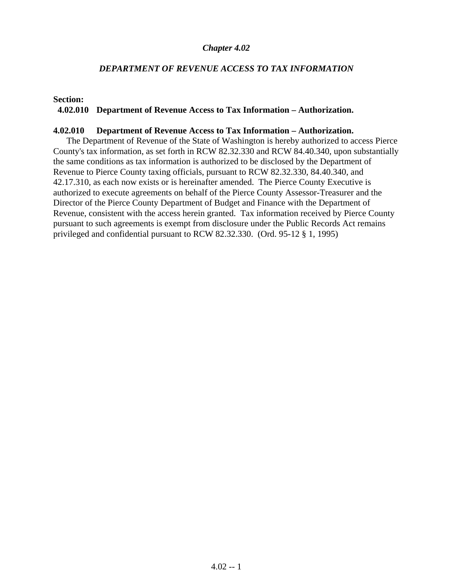### *DEPARTMENT OF REVENUE ACCESS TO TAX INFORMATION*

**Section:**

#### **4.02.010 Department of Revenue Access to Tax Information – Authorization.**

#### **4.02.010 Department of Revenue Access to Tax Information – Authorization.**

The Department of Revenue of the State of Washington is hereby authorized to access Pierce County's tax information, as set forth in RCW 82.32.330 and RCW 84.40.340, upon substantially the same conditions as tax information is authorized to be disclosed by the Department of Revenue to Pierce County taxing officials, pursuant to RCW 82.32.330, 84.40.340, and 42.17.310, as each now exists or is hereinafter amended. The Pierce County Executive is authorized to execute agreements on behalf of the Pierce County Assessor-Treasurer and the Director of the Pierce County Department of Budget and Finance with the Department of Revenue, consistent with the access herein granted. Tax information received by Pierce County pursuant to such agreements is exempt from disclosure under the Public Records Act remains privileged and confidential pursuant to RCW 82.32.330. (Ord. 95-12 § 1, 1995)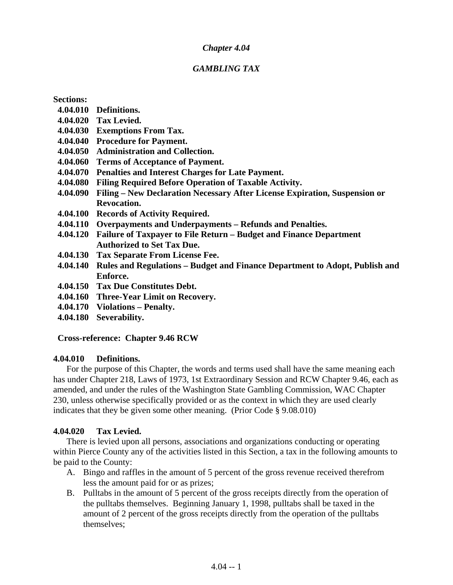### *GAMBLING TAX*

**Sections:** 

- **4.04.010 Definitions.**
- **4.04.020 Tax Levied.**
- **4.04.030 Exemptions From Tax.**
- **4.04.040 Procedure for Payment.**
- **4.04.050 Administration and Collection.**
- **4.04.060 Terms of Acceptance of Payment.**
- **4.04.070 Penalties and Interest Charges for Late Payment.**
- **4.04.080 Filing Required Before Operation of Taxable Activity.**
- **4.04.090 Filing New Declaration Necessary After License Expiration, Suspension or Revocation.**
- **4.04.100 Records of Activity Required.**
- **4.04.110 Overpayments and Underpayments Refunds and Penalties.**
- **4.04.120 Failure of Taxpayer to File Return Budget and Finance Department Authorized to Set Tax Due.**
- **4.04.130 Tax Separate From License Fee.**
- **4.04.140 Rules and Regulations Budget and Finance Department to Adopt, Publish and Enforce.**
- **4.04.150 Tax Due Constitutes Debt.**
- **4.04.160 Three-Year Limit on Recovery.**
- **4.04.170 Violations Penalty.**
- **4.04.180 Severability.**

### **Cross-reference: Chapter 9.46 RCW**

### **4.04.010 Definitions.**

For the purpose of this Chapter, the words and terms used shall have the same meaning each has under Chapter 218, Laws of 1973, 1st Extraordinary Session and RCW Chapter 9.46, each as amended, and under the rules of the Washington State Gambling Commission, WAC Chapter 230, unless otherwise specifically provided or as the context in which they are used clearly indicates that they be given some other meaning. (Prior Code § 9.08.010)

### **4.04.020 Tax Levied.**

There is levied upon all persons, associations and organizations conducting or operating within Pierce County any of the activities listed in this Section, a tax in the following amounts to be paid to the County:

- A. Bingo and raffles in the amount of 5 percent of the gross revenue received therefrom less the amount paid for or as prizes;
- B. Pulltabs in the amount of 5 percent of the gross receipts directly from the operation of the pulltabs themselves. Beginning January 1, 1998, pulltabs shall be taxed in the amount of 2 percent of the gross receipts directly from the operation of the pulltabs themselves;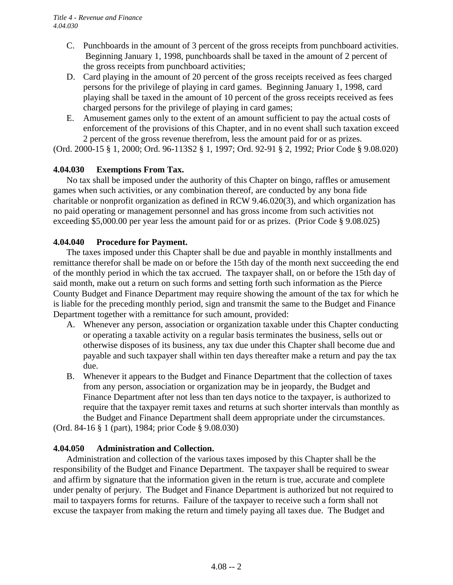- C. Punchboards in the amount of 3 percent of the gross receipts from punchboard activities. Beginning January 1, 1998, punchboards shall be taxed in the amount of 2 percent of the gross receipts from punchboard activities;
- D. Card playing in the amount of 20 percent of the gross receipts received as fees charged persons for the privilege of playing in card games. Beginning January 1, 1998, card playing shall be taxed in the amount of 10 percent of the gross receipts received as fees charged persons for the privilege of playing in card games;
- E. Amusement games only to the extent of an amount sufficient to pay the actual costs of enforcement of the provisions of this Chapter, and in no event shall such taxation exceed 2 percent of the gross revenue therefrom, less the amount paid for or as prizes.

(Ord. 2000-15 § 1, 2000; Ord. 96-113S2 § 1, 1997; Ord. 92-91 § 2, 1992; Prior Code § 9.08.020)

### **4.04.030 Exemptions From Tax.**

No tax shall be imposed under the authority of this Chapter on bingo, raffles or amusement games when such activities, or any combination thereof, are conducted by any bona fide charitable or nonprofit organization as defined in RCW 9.46.020(3), and which organization has no paid operating or management personnel and has gross income from such activities not exceeding \$5,000.00 per year less the amount paid for or as prizes. (Prior Code § 9.08.025)

### **4.04.040 Procedure for Payment.**

The taxes imposed under this Chapter shall be due and payable in monthly installments and remittance therefor shall be made on or before the 15th day of the month next succeeding the end of the monthly period in which the tax accrued. The taxpayer shall, on or before the 15th day of said month, make out a return on such forms and setting forth such information as the Pierce County Budget and Finance Department may require showing the amount of the tax for which he is liable for the preceding monthly period, sign and transmit the same to the Budget and Finance Department together with a remittance for such amount, provided:

- A. Whenever any person, association or organization taxable under this Chapter conducting or operating a taxable activity on a regular basis terminates the business, sells out or otherwise disposes of its business, any tax due under this Chapter shall become due and payable and such taxpayer shall within ten days thereafter make a return and pay the tax due.
- B. Whenever it appears to the Budget and Finance Department that the collection of taxes from any person, association or organization may be in jeopardy, the Budget and Finance Department after not less than ten days notice to the taxpayer, is authorized to require that the taxpayer remit taxes and returns at such shorter intervals than monthly as the Budget and Finance Department shall deem appropriate under the circumstances.

(Ord. 84-16 § 1 (part), 1984; prior Code § 9.08.030)

### **4.04.050 Administration and Collection.**

Administration and collection of the various taxes imposed by this Chapter shall be the responsibility of the Budget and Finance Department. The taxpayer shall be required to swear and affirm by signature that the information given in the return is true, accurate and complete under penalty of perjury. The Budget and Finance Department is authorized but not required to mail to taxpayers forms for returns. Failure of the taxpayer to receive such a form shall not excuse the taxpayer from making the return and timely paying all taxes due. The Budget and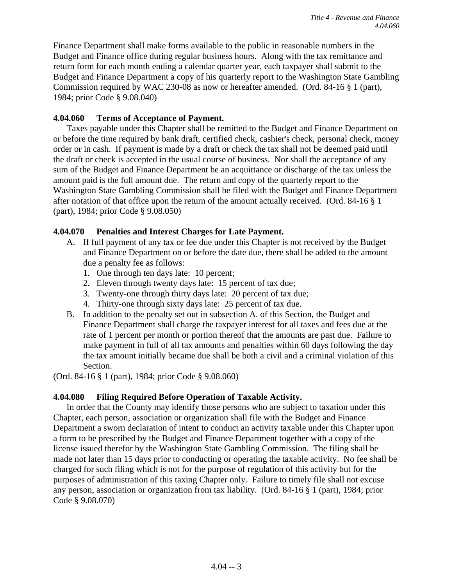Finance Department shall make forms available to the public in reasonable numbers in the Budget and Finance office during regular business hours. Along with the tax remittance and return form for each month ending a calendar quarter year, each taxpayer shall submit to the Budget and Finance Department a copy of his quarterly report to the Washington State Gambling Commission required by WAC 230-08 as now or hereafter amended. (Ord. 84-16 § 1 (part), 1984; prior Code § 9.08.040)

### **4.04.060 Terms of Acceptance of Payment.**

Taxes payable under this Chapter shall be remitted to the Budget and Finance Department on or before the time required by bank draft, certified check, cashier's check, personal check, money order or in cash. If payment is made by a draft or check the tax shall not be deemed paid until the draft or check is accepted in the usual course of business. Nor shall the acceptance of any sum of the Budget and Finance Department be an acquittance or discharge of the tax unless the amount paid is the full amount due. The return and copy of the quarterly report to the Washington State Gambling Commission shall be filed with the Budget and Finance Department after notation of that office upon the return of the amount actually received. (Ord. 84-16 § 1 (part), 1984; prior Code § 9.08.050)

### **4.04.070 Penalties and Interest Charges for Late Payment.**

- A. If full payment of any tax or fee due under this Chapter is not received by the Budget and Finance Department on or before the date due, there shall be added to the amount due a penalty fee as follows:
	- 1. One through ten days late: 10 percent;
	- 2. Eleven through twenty days late: 15 percent of tax due;
	- 3. Twenty-one through thirty days late: 20 percent of tax due;
	- 4. Thirty-one through sixty days late: 25 percent of tax due.
- B. In addition to the penalty set out in subsection A. of this Section, the Budget and Finance Department shall charge the taxpayer interest for all taxes and fees due at the rate of 1 percent per month or portion thereof that the amounts are past due. Failure to make payment in full of all tax amounts and penalties within 60 days following the day the tax amount initially became due shall be both a civil and a criminal violation of this Section.

(Ord. 84-16 § 1 (part), 1984; prior Code § 9.08.060)

### **4.04.080 Filing Required Before Operation of Taxable Activity.**

In order that the County may identify those persons who are subject to taxation under this Chapter, each person, association or organization shall file with the Budget and Finance Department a sworn declaration of intent to conduct an activity taxable under this Chapter upon a form to be prescribed by the Budget and Finance Department together with a copy of the license issued therefor by the Washington State Gambling Commission. The filing shall be made not later than 15 days prior to conducting or operating the taxable activity. No fee shall be charged for such filing which is not for the purpose of regulation of this activity but for the purposes of administration of this taxing Chapter only. Failure to timely file shall not excuse any person, association or organization from tax liability. (Ord. 84-16 § 1 (part), 1984; prior Code § 9.08.070)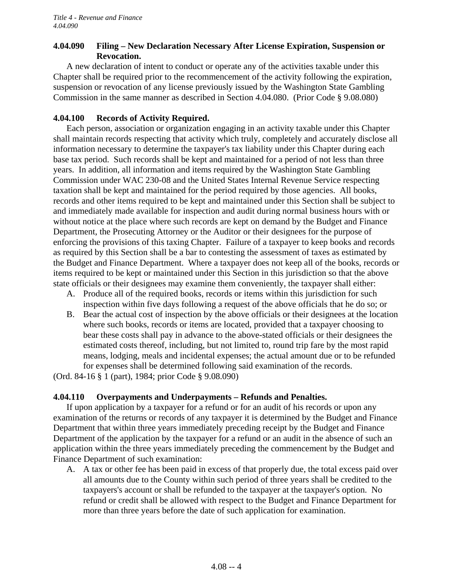### **4.04.090 Filing – New Declaration Necessary After License Expiration, Suspension or Revocation.**

A new declaration of intent to conduct or operate any of the activities taxable under this Chapter shall be required prior to the recommencement of the activity following the expiration, suspension or revocation of any license previously issued by the Washington State Gambling Commission in the same manner as described in Section 4.04.080. (Prior Code § 9.08.080)

### **4.04.100 Records of Activity Required.**

Each person, association or organization engaging in an activity taxable under this Chapter shall maintain records respecting that activity which truly, completely and accurately disclose all information necessary to determine the taxpayer's tax liability under this Chapter during each base tax period. Such records shall be kept and maintained for a period of not less than three years. In addition, all information and items required by the Washington State Gambling Commission under WAC 230-08 and the United States Internal Revenue Service respecting taxation shall be kept and maintained for the period required by those agencies. All books, records and other items required to be kept and maintained under this Section shall be subject to and immediately made available for inspection and audit during normal business hours with or without notice at the place where such records are kept on demand by the Budget and Finance Department, the Prosecuting Attorney or the Auditor or their designees for the purpose of enforcing the provisions of this taxing Chapter. Failure of a taxpayer to keep books and records as required by this Section shall be a bar to contesting the assessment of taxes as estimated by the Budget and Finance Department. Where a taxpayer does not keep all of the books, records or items required to be kept or maintained under this Section in this jurisdiction so that the above state officials or their designees may examine them conveniently, the taxpayer shall either:

- A. Produce all of the required books, records or items within this jurisdiction for such inspection within five days following a request of the above officials that he do so; or
- B. Bear the actual cost of inspection by the above officials or their designees at the location where such books, records or items are located, provided that a taxpayer choosing to bear these costs shall pay in advance to the above-stated officials or their designees the estimated costs thereof, including, but not limited to, round trip fare by the most rapid means, lodging, meals and incidental expenses; the actual amount due or to be refunded for expenses shall be determined following said examination of the records.

(Ord. 84-16 § 1 (part), 1984; prior Code § 9.08.090)

### **4.04.110 Overpayments and Underpayments – Refunds and Penalties.**

If upon application by a taxpayer for a refund or for an audit of his records or upon any examination of the returns or records of any taxpayer it is determined by the Budget and Finance Department that within three years immediately preceding receipt by the Budget and Finance Department of the application by the taxpayer for a refund or an audit in the absence of such an application within the three years immediately preceding the commencement by the Budget and Finance Department of such examination:

 A. A tax or other fee has been paid in excess of that properly due, the total excess paid over all amounts due to the County within such period of three years shall be credited to the taxpayers's account or shall be refunded to the taxpayer at the taxpayer's option. No refund or credit shall be allowed with respect to the Budget and Finance Department for more than three years before the date of such application for examination.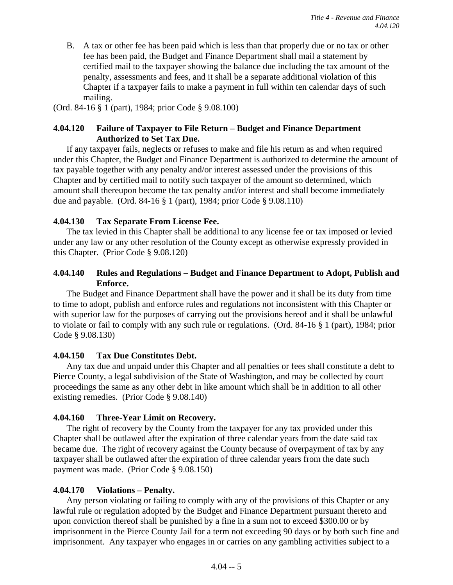B. A tax or other fee has been paid which is less than that properly due or no tax or other fee has been paid, the Budget and Finance Department shall mail a statement by certified mail to the taxpayer showing the balance due including the tax amount of the penalty, assessments and fees, and it shall be a separate additional violation of this Chapter if a taxpayer fails to make a payment in full within ten calendar days of such mailing.

(Ord. 84-16 § 1 (part), 1984; prior Code § 9.08.100)

### **4.04.120 Failure of Taxpayer to File Return – Budget and Finance Department Authorized to Set Tax Due.**

If any taxpayer fails, neglects or refuses to make and file his return as and when required under this Chapter, the Budget and Finance Department is authorized to determine the amount of tax payable together with any penalty and/or interest assessed under the provisions of this Chapter and by certified mail to notify such taxpayer of the amount so determined, which amount shall thereupon become the tax penalty and/or interest and shall become immediately due and payable. (Ord. 84-16 § 1 (part), 1984; prior Code § 9.08.110)

### **4.04.130 Tax Separate From License Fee.**

The tax levied in this Chapter shall be additional to any license fee or tax imposed or levied under any law or any other resolution of the County except as otherwise expressly provided in this Chapter. (Prior Code § 9.08.120)

### **4.04.140 Rules and Regulations – Budget and Finance Department to Adopt, Publish and Enforce.**

The Budget and Finance Department shall have the power and it shall be its duty from time to time to adopt, publish and enforce rules and regulations not inconsistent with this Chapter or with superior law for the purposes of carrying out the provisions hereof and it shall be unlawful to violate or fail to comply with any such rule or regulations. (Ord. 84-16 § 1 (part), 1984; prior Code § 9.08.130)

### **4.04.150 Tax Due Constitutes Debt.**

Any tax due and unpaid under this Chapter and all penalties or fees shall constitute a debt to Pierce County, a legal subdivision of the State of Washington, and may be collected by court proceedings the same as any other debt in like amount which shall be in addition to all other existing remedies. (Prior Code § 9.08.140)

### **4.04.160 Three-Year Limit on Recovery.**

The right of recovery by the County from the taxpayer for any tax provided under this Chapter shall be outlawed after the expiration of three calendar years from the date said tax became due. The right of recovery against the County because of overpayment of tax by any taxpayer shall be outlawed after the expiration of three calendar years from the date such payment was made. (Prior Code § 9.08.150)

### **4.04.170 Violations – Penalty.**

Any person violating or failing to comply with any of the provisions of this Chapter or any lawful rule or regulation adopted by the Budget and Finance Department pursuant thereto and upon conviction thereof shall be punished by a fine in a sum not to exceed \$300.00 or by imprisonment in the Pierce County Jail for a term not exceeding 90 days or by both such fine and imprisonment. Any taxpayer who engages in or carries on any gambling activities subject to a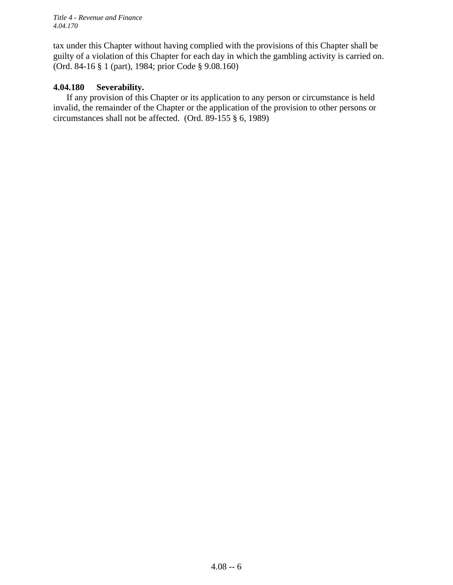*Title 4 - Revenue and Finance 4.04.170*

tax under this Chapter without having complied with the provisions of this Chapter shall be guilty of a violation of this Chapter for each day in which the gambling activity is carried on. (Ord. 84-16 § 1 (part), 1984; prior Code § 9.08.160)

### **4.04.180 Severability.**

If any provision of this Chapter or its application to any person or circumstance is held invalid, the remainder of the Chapter or the application of the provision to other persons or circumstances shall not be affected. (Ord. 89-155 § 6, 1989)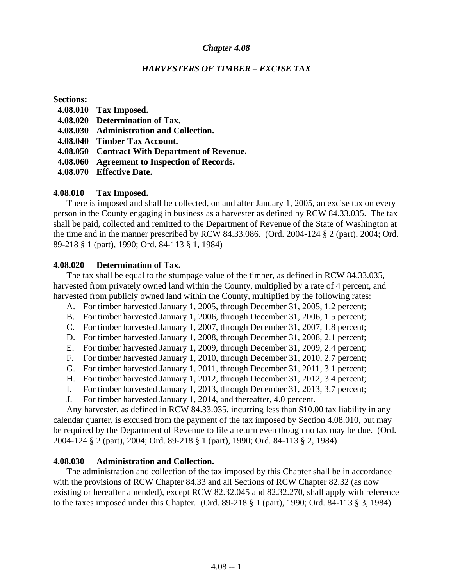### *HARVESTERS OF TIMBER – EXCISE TAX*

#### **Sections:**

- **4.08.010 Tax Imposed.**
- **4.08.020 Determination of Tax.**
- **4.08.030 Administration and Collection.**
- **4.08.040 Timber Tax Account.**
- **4.08.050 Contract With Department of Revenue.**
- **4.08.060 Agreement to Inspection of Records.**
- **4.08.070 Effective Date.**

### **4.08.010 Tax Imposed.**

There is imposed and shall be collected, on and after January 1, 2005, an excise tax on every person in the County engaging in business as a harvester as defined by RCW 84.33.035. The tax shall be paid, collected and remitted to the Department of Revenue of the State of Washington at the time and in the manner prescribed by RCW 84.33.086. (Ord. 2004-124 § 2 (part), 2004; Ord. 89-218 § 1 (part), 1990; Ord. 84-113 § 1, 1984)

#### **4.08.020 Determination of Tax.**

The tax shall be equal to the stumpage value of the timber, as defined in RCW 84.33.035, harvested from privately owned land within the County, multiplied by a rate of 4 percent, and harvested from publicly owned land within the County, multiplied by the following rates:

- A. For timber harvested January 1, 2005, through December 31, 2005, 1.2 percent;
- B. For timber harvested January 1, 2006, through December 31, 2006, 1.5 percent;
- C. For timber harvested January 1, 2007, through December 31, 2007, 1.8 percent;
- D. For timber harvested January 1, 2008, through December 31, 2008, 2.1 percent;
- E. For timber harvested January 1, 2009, through December 31, 2009, 2.4 percent;
- F. For timber harvested January 1, 2010, through December 31, 2010, 2.7 percent;
- G. For timber harvested January 1, 2011, through December 31, 2011, 3.1 percent;
- H. For timber harvested January 1, 2012, through December 31, 2012, 3.4 percent;
- I. For timber harvested January 1, 2013, through December 31, 2013, 3.7 percent;
- J. For timber harvested January 1, 2014, and thereafter, 4.0 percent.

Any harvester, as defined in RCW 84.33.035, incurring less than \$10.00 tax liability in any calendar quarter, is excused from the payment of the tax imposed by Section 4.08.010, but may be required by the Department of Revenue to file a return even though no tax may be due. (Ord. 2004-124 § 2 (part), 2004; Ord. 89-218 § 1 (part), 1990; Ord. 84-113 § 2, 1984)

### **4.08.030 Administration and Collection.**

The administration and collection of the tax imposed by this Chapter shall be in accordance with the provisions of RCW Chapter 84.33 and all Sections of RCW Chapter 82.32 (as now existing or hereafter amended), except RCW 82.32.045 and 82.32.270, shall apply with reference to the taxes imposed under this Chapter. (Ord. 89-218 § 1 (part), 1990; Ord. 84-113 § 3, 1984)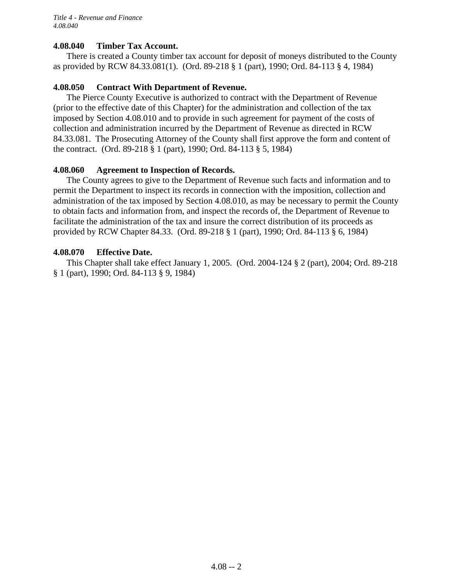### **4.08.040 Timber Tax Account.**

There is created a County timber tax account for deposit of moneys distributed to the County as provided by RCW 84.33.081(1). (Ord. 89-218 § 1 (part), 1990; Ord. 84-113 § 4, 1984)

### **4.08.050 Contract With Department of Revenue.**

The Pierce County Executive is authorized to contract with the Department of Revenue (prior to the effective date of this Chapter) for the administration and collection of the tax imposed by Section 4.08.010 and to provide in such agreement for payment of the costs of collection and administration incurred by the Department of Revenue as directed in RCW 84.33.081. The Prosecuting Attorney of the County shall first approve the form and content of the contract. (Ord. 89-218 § 1 (part), 1990; Ord. 84-113 § 5, 1984)

### **4.08.060 Agreement to Inspection of Records.**

The County agrees to give to the Department of Revenue such facts and information and to permit the Department to inspect its records in connection with the imposition, collection and administration of the tax imposed by Section 4.08.010, as may be necessary to permit the County to obtain facts and information from, and inspect the records of, the Department of Revenue to facilitate the administration of the tax and insure the correct distribution of its proceeds as provided by RCW Chapter 84.33. (Ord. 89-218 § 1 (part), 1990; Ord. 84-113 § 6, 1984)

### **4.08.070 Effective Date.**

This Chapter shall take effect January 1, 2005. (Ord. 2004-124 § 2 (part), 2004; Ord. 89-218 § 1 (part), 1990; Ord. 84-113 § 9, 1984)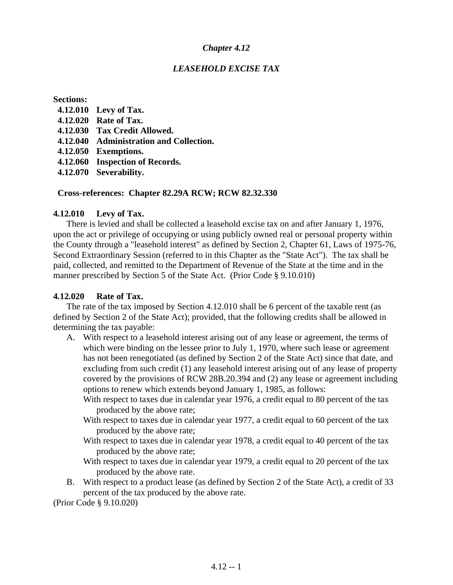### *LEASEHOLD EXCISE TAX*

#### **Sections:**

- **4.12.010 Levy of Tax.**
- **4.12.020 Rate of Tax.**
- **4.12.030 Tax Credit Allowed.**
- **4.12.040 Administration and Collection.**
- **4.12.050 Exemptions.**
- **4.12.060 Inspection of Records.**
- **4.12.070 Severability.**

### **Cross-references: Chapter 82.29A RCW; RCW 82.32.330**

### **4.12.010 Levy of Tax.**

There is levied and shall be collected a leasehold excise tax on and after January 1, 1976, upon the act or privilege of occupying or using publicly owned real or personal property within the County through a "leasehold interest" as defined by Section 2, Chapter 61, Laws of 1975-76, Second Extraordinary Session (referred to in this Chapter as the "State Act"). The tax shall be paid, collected, and remitted to the Department of Revenue of the State at the time and in the manner prescribed by Section 5 of the State Act. (Prior Code § 9.10.010)

### **4.12.020 Rate of Tax.**

The rate of the tax imposed by Section 4.12.010 shall be 6 percent of the taxable rent (as defined by Section 2 of the State Act); provided, that the following credits shall be allowed in determining the tax payable:

- A. With respect to a leasehold interest arising out of any lease or agreement, the terms of which were binding on the lessee prior to July 1, 1970, where such lease or agreement has not been renegotiated (as defined by Section 2 of the State Act) since that date, and excluding from such credit (1) any leasehold interest arising out of any lease of property covered by the provisions of RCW 28B.20.394 and (2) any lease or agreement including options to renew which extends beyond January 1, 1985, as follows:
	- With respect to taxes due in calendar year 1976, a credit equal to 80 percent of the tax produced by the above rate;
	- With respect to taxes due in calendar year 1977, a credit equal to 60 percent of the tax produced by the above rate;
	- With respect to taxes due in calendar year 1978, a credit equal to 40 percent of the tax produced by the above rate;
	- With respect to taxes due in calendar year 1979, a credit equal to 20 percent of the tax produced by the above rate.
- B. With respect to a product lease (as defined by Section 2 of the State Act), a credit of 33 percent of the tax produced by the above rate.

(Prior Code § 9.10.020)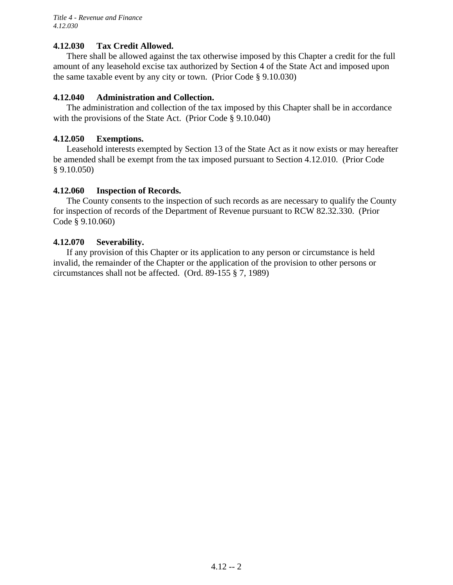### **4.12.030 Tax Credit Allowed.**

There shall be allowed against the tax otherwise imposed by this Chapter a credit for the full amount of any leasehold excise tax authorized by Section 4 of the State Act and imposed upon the same taxable event by any city or town. (Prior Code § 9.10.030)

### **4.12.040 Administration and Collection.**

The administration and collection of the tax imposed by this Chapter shall be in accordance with the provisions of the State Act. (Prior Code § 9.10.040)

### **4.12.050 Exemptions.**

Leasehold interests exempted by Section 13 of the State Act as it now exists or may hereafter be amended shall be exempt from the tax imposed pursuant to Section 4.12.010. (Prior Code § 9.10.050)

### **4.12.060 Inspection of Records.**

The County consents to the inspection of such records as are necessary to qualify the County for inspection of records of the Department of Revenue pursuant to RCW 82.32.330. (Prior Code § 9.10.060)

### **4.12.070 Severability.**

If any provision of this Chapter or its application to any person or circumstance is held invalid, the remainder of the Chapter or the application of the provision to other persons or circumstances shall not be affected. (Ord. 89-155 § 7, 1989)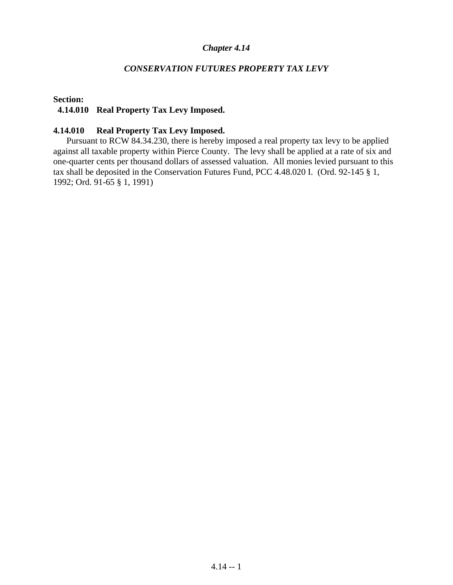### *CONSERVATION FUTURES PROPERTY TAX LEVY*

#### **Section:**

#### **4.14.010 Real Property Tax Levy Imposed.**

#### **4.14.010 Real Property Tax Levy Imposed.**

Pursuant to RCW 84.34.230, there is hereby imposed a real property tax levy to be applied against all taxable property within Pierce County. The levy shall be applied at a rate of six and one-quarter cents per thousand dollars of assessed valuation. All monies levied pursuant to this tax shall be deposited in the Conservation Futures Fund, PCC 4.48.020 I. (Ord. 92-145 § 1, 1992; Ord. 91-65 § 1, 1991)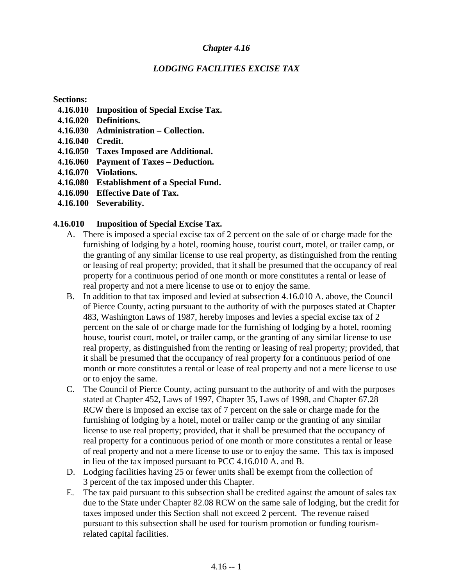### *LODGING FACILITIES EXCISE TAX*

**Sections:** 

- **4.16.010 Imposition of Special Excise Tax.**
- **4.16.020 Definitions.**
- **4.16.030 Administration Collection.**
- **4.16.040 Credit.**
- **4.16.050 Taxes Imposed are Additional.**
- **4.16.060 Payment of Taxes Deduction.**
- **4.16.070 Violations.**
- **4.16.080 Establishment of a Special Fund.**
- **4.16.090 Effective Date of Tax.**
- **4.16.100 Severability.**

### **4.16.010 Imposition of Special Excise Tax.**

- A. There is imposed a special excise tax of 2 percent on the sale of or charge made for the furnishing of lodging by a hotel, rooming house, tourist court, motel, or trailer camp, or the granting of any similar license to use real property, as distinguished from the renting or leasing of real property; provided, that it shall be presumed that the occupancy of real property for a continuous period of one month or more constitutes a rental or lease of real property and not a mere license to use or to enjoy the same.
- B. In addition to that tax imposed and levied at subsection 4.16.010 A. above, the Council of Pierce County, acting pursuant to the authority of with the purposes stated at Chapter 483, Washington Laws of 1987, hereby imposes and levies a special excise tax of 2 percent on the sale of or charge made for the furnishing of lodging by a hotel, rooming house, tourist court, motel, or trailer camp, or the granting of any similar license to use real property, as distinguished from the renting or leasing of real property; provided, that it shall be presumed that the occupancy of real property for a continuous period of one month or more constitutes a rental or lease of real property and not a mere license to use or to enjoy the same.
- C. The Council of Pierce County, acting pursuant to the authority of and with the purposes stated at Chapter 452, Laws of 1997, Chapter 35, Laws of 1998, and Chapter 67.28 RCW there is imposed an excise tax of 7 percent on the sale or charge made for the furnishing of lodging by a hotel, motel or trailer camp or the granting of any similar license to use real property; provided, that it shall be presumed that the occupancy of real property for a continuous period of one month or more constitutes a rental or lease of real property and not a mere license to use or to enjoy the same. This tax is imposed in lieu of the tax imposed pursuant to PCC 4.16.010 A. and B.
- D. Lodging facilities having 25 or fewer units shall be exempt from the collection of 3 percent of the tax imposed under this Chapter.
- E. The tax paid pursuant to this subsection shall be credited against the amount of sales tax due to the State under Chapter 82.08 RCW on the same sale of lodging, but the credit for taxes imposed under this Section shall not exceed 2 percent. The revenue raised pursuant to this subsection shall be used for tourism promotion or funding tourismrelated capital facilities.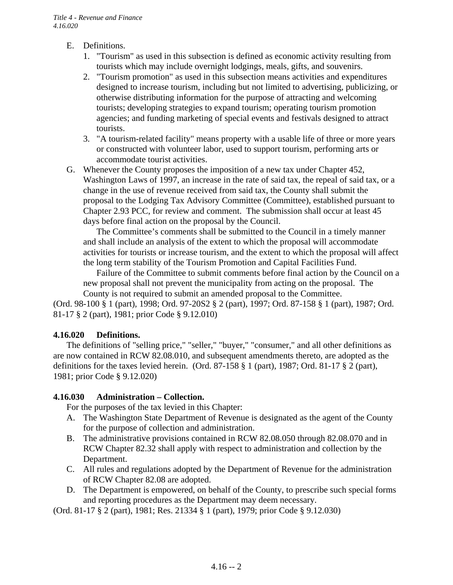- E. Definitions.
	- 1. "Tourism" as used in this subsection is defined as economic activity resulting from tourists which may include overnight lodgings, meals, gifts, and souvenirs.
	- 2. "Tourism promotion" as used in this subsection means activities and expenditures designed to increase tourism, including but not limited to advertising, publicizing, or otherwise distributing information for the purpose of attracting and welcoming tourists; developing strategies to expand tourism; operating tourism promotion agencies; and funding marketing of special events and festivals designed to attract tourists.
	- 3. "A tourism-related facility" means property with a usable life of three or more years or constructed with volunteer labor, used to support tourism, performing arts or accommodate tourist activities.
- G. Whenever the County proposes the imposition of a new tax under Chapter 452, Washington Laws of 1997, an increase in the rate of said tax, the repeal of said tax, or a change in the use of revenue received from said tax, the County shall submit the proposal to the Lodging Tax Advisory Committee (Committee), established pursuant to Chapter 2.93 PCC, for review and comment. The submission shall occur at least 45 days before final action on the proposal by the Council.

The Committee's comments shall be submitted to the Council in a timely manner and shall include an analysis of the extent to which the proposal will accommodate activities for tourists or increase tourism, and the extent to which the proposal will affect the long term stability of the Tourism Promotion and Capital Facilities Fund.

Failure of the Committee to submit comments before final action by the Council on a new proposal shall not prevent the municipality from acting on the proposal. The County is not required to submit an amended proposal to the Committee.

(Ord. 98-100 § 1 (part), 1998; Ord. 97-20S2 § 2 (part), 1997; Ord. 87-158 § 1 (part), 1987; Ord. 81-17 § 2 (part), 1981; prior Code § 9.12.010)

### **4.16.020 Definitions.**

The definitions of "selling price," "seller," "buyer," "consumer," and all other definitions as are now contained in RCW 82.08.010, and subsequent amendments thereto, are adopted as the definitions for the taxes levied herein. (Ord. 87-158 § 1 (part), 1987; Ord. 81-17 § 2 (part), 1981; prior Code § 9.12.020)

### **4.16.030 Administration – Collection.**

For the purposes of the tax levied in this Chapter:

- A. The Washington State Department of Revenue is designated as the agent of the County for the purpose of collection and administration.
- B. The administrative provisions contained in RCW 82.08.050 through 82.08.070 and in RCW Chapter 82.32 shall apply with respect to administration and collection by the Department.
- C. All rules and regulations adopted by the Department of Revenue for the administration of RCW Chapter 82.08 are adopted.
- D. The Department is empowered, on behalf of the County, to prescribe such special forms and reporting procedures as the Department may deem necessary.

(Ord. 81-17 § 2 (part), 1981; Res. 21334 § 1 (part), 1979; prior Code § 9.12.030)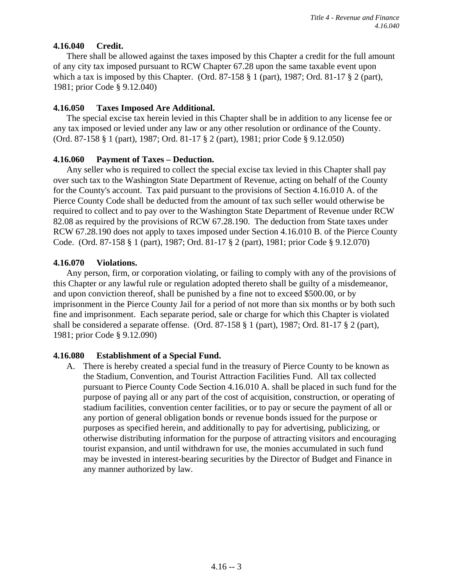### **4.16.040 Credit.**

There shall be allowed against the taxes imposed by this Chapter a credit for the full amount of any city tax imposed pursuant to RCW Chapter 67.28 upon the same taxable event upon which a tax is imposed by this Chapter. (Ord. 87-158  $\S$  1 (part), 1987; Ord. 81-17  $\S$  2 (part), 1981; prior Code § 9.12.040)

### **4.16.050 Taxes Imposed Are Additional.**

The special excise tax herein levied in this Chapter shall be in addition to any license fee or any tax imposed or levied under any law or any other resolution or ordinance of the County. (Ord. 87-158 § 1 (part), 1987; Ord. 81-17 § 2 (part), 1981; prior Code § 9.12.050)

### **4.16.060 Payment of Taxes – Deduction.**

Any seller who is required to collect the special excise tax levied in this Chapter shall pay over such tax to the Washington State Department of Revenue, acting on behalf of the County for the County's account. Tax paid pursuant to the provisions of Section 4.16.010 A. of the Pierce County Code shall be deducted from the amount of tax such seller would otherwise be required to collect and to pay over to the Washington State Department of Revenue under RCW 82.08 as required by the provisions of RCW 67.28.190. The deduction from State taxes under RCW 67.28.190 does not apply to taxes imposed under Section 4.16.010 B. of the Pierce County Code. (Ord. 87-158 § 1 (part), 1987; Ord. 81-17 § 2 (part), 1981; prior Code § 9.12.070)

### **4.16.070 Violations.**

Any person, firm, or corporation violating, or failing to comply with any of the provisions of this Chapter or any lawful rule or regulation adopted thereto shall be guilty of a misdemeanor, and upon conviction thereof, shall be punished by a fine not to exceed \$500.00, or by imprisonment in the Pierce County Jail for a period of not more than six months or by both such fine and imprisonment. Each separate period, sale or charge for which this Chapter is violated shall be considered a separate offense. (Ord. 87-158 § 1 (part), 1987; Ord. 81-17 § 2 (part), 1981; prior Code § 9.12.090)

### **4.16.080 Establishment of a Special Fund.**

A. There is hereby created a special fund in the treasury of Pierce County to be known as the Stadium, Convention, and Tourist Attraction Facilities Fund. All tax collected pursuant to Pierce County Code Section 4.16.010 A. shall be placed in such fund for the purpose of paying all or any part of the cost of acquisition, construction, or operating of stadium facilities, convention center facilities, or to pay or secure the payment of all or any portion of general obligation bonds or revenue bonds issued for the purpose or purposes as specified herein, and additionally to pay for advertising, publicizing, or otherwise distributing information for the purpose of attracting visitors and encouraging tourist expansion, and until withdrawn for use, the monies accumulated in such fund may be invested in interest-bearing securities by the Director of Budget and Finance in any manner authorized by law.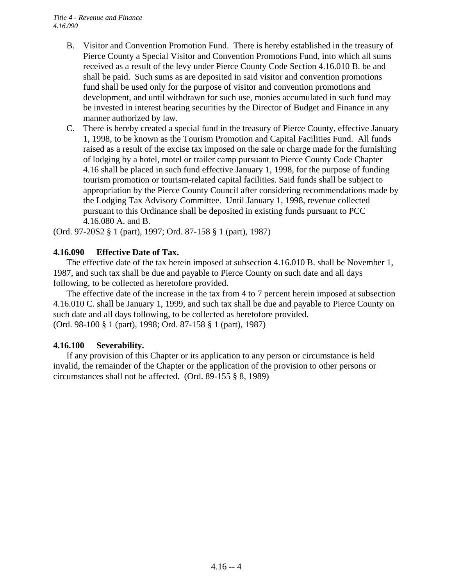- B. Visitor and Convention Promotion Fund. There is hereby established in the treasury of Pierce County a Special Visitor and Convention Promotions Fund, into which all sums received as a result of the levy under Pierce County Code Section 4.16.010 B. be and shall be paid. Such sums as are deposited in said visitor and convention promotions fund shall be used only for the purpose of visitor and convention promotions and development, and until withdrawn for such use, monies accumulated in such fund may be invested in interest bearing securities by the Director of Budget and Finance in any manner authorized by law.
- C. There is hereby created a special fund in the treasury of Pierce County, effective January 1, 1998, to be known as the Tourism Promotion and Capital Facilities Fund. All funds raised as a result of the excise tax imposed on the sale or charge made for the furnishing of lodging by a hotel, motel or trailer camp pursuant to Pierce County Code Chapter 4.16 shall be placed in such fund effective January 1, 1998, for the purpose of funding tourism promotion or tourism-related capital facilities. Said funds shall be subject to appropriation by the Pierce County Council after considering recommendations made by the Lodging Tax Advisory Committee. Until January 1, 1998, revenue collected pursuant to this Ordinance shall be deposited in existing funds pursuant to PCC 4.16.080 A. and B.

(Ord. 97-20S2 § 1 (part), 1997; Ord. 87-158 § 1 (part), 1987)

### **4.16.090 Effective Date of Tax.**

The effective date of the tax herein imposed at subsection 4.16.010 B. shall be November 1, 1987, and such tax shall be due and payable to Pierce County on such date and all days following, to be collected as heretofore provided.

The effective date of the increase in the tax from 4 to 7 percent herein imposed at subsection 4.16.010 C. shall be January 1, 1999, and such tax shall be due and payable to Pierce County on such date and all days following, to be collected as heretofore provided. (Ord. 98-100 § 1 (part), 1998; Ord. 87-158 § 1 (part), 1987)

### **4.16.100 Severability.**

If any provision of this Chapter or its application to any person or circumstance is held invalid, the remainder of the Chapter or the application of the provision to other persons or circumstances shall not be affected. (Ord. 89-155 § 8, 1989)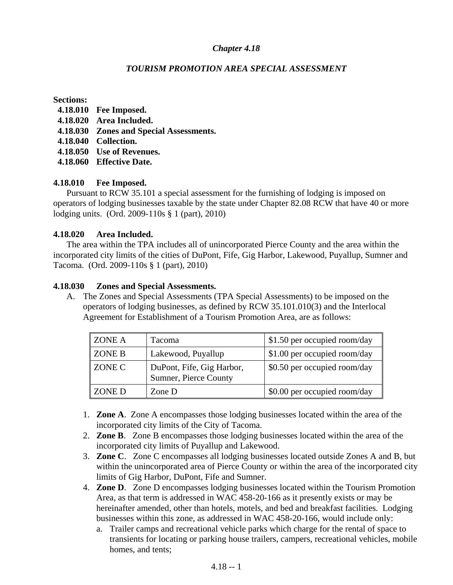### *TOURISM PROMOTION AREA SPECIAL ASSESSMENT*

#### **Sections:**

- **4.18.010 Fee Imposed.**
- **4.18.020 Area Included.**
- **4.18.030 Zones and Special Assessments.**
- **4.18.040 Collection.**
- **4.18.050 Use of Revenues.**
- **4.18.060 Effective Date.**

### **4.18.010 Fee Imposed.**

 Pursuant to RCW 35.101 a special assessment for the furnishing of lodging is imposed on operators of lodging businesses taxable by the state under Chapter 82.08 RCW that have 40 or more lodging units. (Ord. 2009-110s § 1 (part), 2010)

### **4.18.020 Area Included.**

 The area within the TPA includes all of unincorporated Pierce County and the area within the incorporated city limits of the cities of DuPont, Fife, Gig Harbor, Lakewood, Puyallup, Sumner and Tacoma. (Ord. 2009-110s § 1 (part), 2010)

### **4.18.030 Zones and Special Assessments.**

A. The Zones and Special Assessments (TPA Special Assessments) to be imposed on the operators of lodging businesses, as defined by RCW 35.101.010(3) and the Interlocal Agreement for Establishment of a Tourism Promotion Area, are as follows:

| ZONE A | <b>Tacoma</b>                                      | \$1.50 per occupied room/day |
|--------|----------------------------------------------------|------------------------------|
| ZONE B | Lakewood, Puyallup                                 | \$1.00 per occupied room/day |
| ZONE C | DuPont, Fife, Gig Harbor,<br>Sumner, Pierce County | \$0.50 per occupied room/day |
| ZONE D | Zone D                                             | \$0.00 per occupied room/day |

- 1. **Zone A**. Zone A encompasses those lodging businesses located within the area of the incorporated city limits of the City of Tacoma.
- 2. **Zone B**. Zone B encompasses those lodging businesses located within the area of the incorporated city limits of Puyallup and Lakewood.
- 3. **Zone C**. Zone C encompasses all lodging businesses located outside Zones A and B, but within the unincorporated area of Pierce County or within the area of the incorporated city limits of Gig Harbor, DuPont, Fife and Sumner.
- 4. **Zone D**. Zone D encompasses lodging businesses located within the Tourism Promotion Area, as that term is addressed in WAC 458-20-166 as it presently exists or may be hereinafter amended, other than hotels, motels, and bed and breakfast facilities. Lodging businesses within this zone, as addressed in WAC 458-20-166, would include only:
	- a. Trailer camps and recreational vehicle parks which charge for the rental of space to transients for locating or parking house trailers, campers, recreational vehicles, mobile homes, and tents;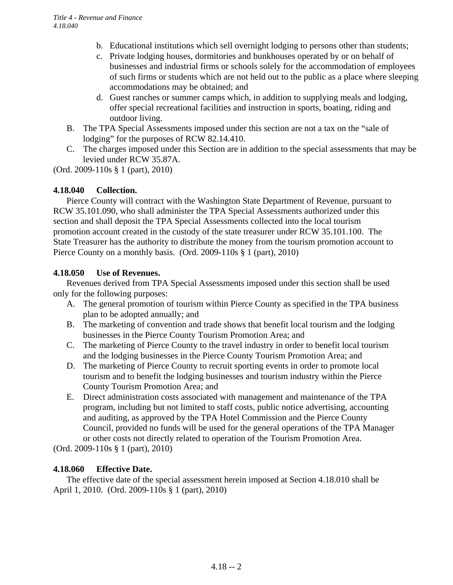- b. Educational institutions which sell overnight lodging to persons other than students;
- c. Private lodging houses, dormitories and bunkhouses operated by or on behalf of businesses and industrial firms or schools solely for the accommodation of employees of such firms or students which are not held out to the public as a place where sleeping accommodations may be obtained; and
- d. Guest ranches or summer camps which, in addition to supplying meals and lodging, offer special recreational facilities and instruction in sports, boating, riding and outdoor living.
- B. The TPA Special Assessments imposed under this section are not a tax on the "sale of lodging" for the purposes of RCW 82.14.410.
- C. The charges imposed under this Section are in addition to the special assessments that may be levied under RCW 35.87A.

(Ord. 2009-110s § 1 (part), 2010)

### **4.18.040 Collection.**

 Pierce County will contract with the Washington State Department of Revenue, pursuant to RCW 35.101.090, who shall administer the TPA Special Assessments authorized under this section and shall deposit the TPA Special Assessments collected into the local tourism promotion account created in the custody of the state treasurer under RCW 35.101.100. The State Treasurer has the authority to distribute the money from the tourism promotion account to Pierce County on a monthly basis. (Ord. 2009-110s § 1 (part), 2010)

### **4.18.050 Use of Revenues.**

 Revenues derived from TPA Special Assessments imposed under this section shall be used only for the following purposes:

- A. The general promotion of tourism within Pierce County as specified in the TPA business plan to be adopted annually; and
- B. The marketing of convention and trade shows that benefit local tourism and the lodging businesses in the Pierce County Tourism Promotion Area; and
- C. The marketing of Pierce County to the travel industry in order to benefit local tourism and the lodging businesses in the Pierce County Tourism Promotion Area; and
- D. The marketing of Pierce County to recruit sporting events in order to promote local tourism and to benefit the lodging businesses and tourism industry within the Pierce County Tourism Promotion Area; and
- E. Direct administration costs associated with management and maintenance of the TPA program, including but not limited to staff costs, public notice advertising, accounting and auditing, as approved by the TPA Hotel Commission and the Pierce County Council, provided no funds will be used for the general operations of the TPA Manager or other costs not directly related to operation of the Tourism Promotion Area.

(Ord. 2009-110s § 1 (part), 2010)

### **4.18.060 Effective Date.**

The effective date of the special assessment herein imposed at Section 4.18.010 shall be April 1, 2010. (Ord. 2009-110s § 1 (part), 2010)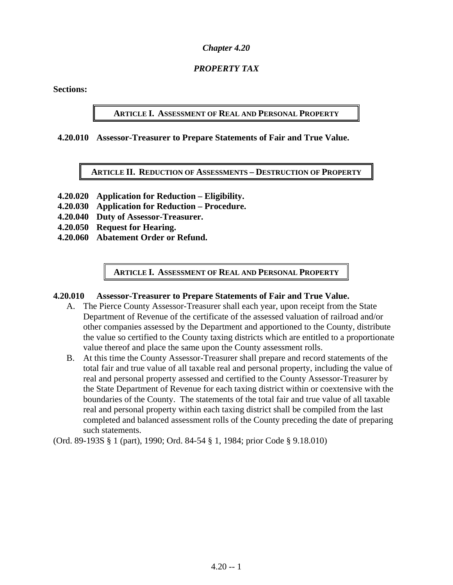### *PROPERTY TAX*

**Sections:** 

### **ARTICLE I. ASSESSMENT OF REAL AND PERSONAL PROPERTY**

#### **4.20.010 Assessor-Treasurer to Prepare Statements of Fair and True Value.**

**ARTICLE II. REDUCTION OF ASSESSMENTS – DESTRUCTION OF PROPERTY**

- **4.20.020 Application for Reduction Eligibility.**
- **4.20.030 Application for Reduction Procedure.**
- **4.20.040 Duty of Assessor-Treasurer.**
- **4.20.050 Request for Hearing.**
- **4.20.060 Abatement Order or Refund.**

**ARTICLE I. ASSESSMENT OF REAL AND PERSONAL PROPERTY**

#### **4.20.010 Assessor-Treasurer to Prepare Statements of Fair and True Value.**

- A. The Pierce County Assessor-Treasurer shall each year, upon receipt from the State Department of Revenue of the certificate of the assessed valuation of railroad and/or other companies assessed by the Department and apportioned to the County, distribute the value so certified to the County taxing districts which are entitled to a proportionate value thereof and place the same upon the County assessment rolls.
- B. At this time the County Assessor-Treasurer shall prepare and record statements of the total fair and true value of all taxable real and personal property, including the value of real and personal property assessed and certified to the County Assessor-Treasurer by the State Department of Revenue for each taxing district within or coextensive with the boundaries of the County. The statements of the total fair and true value of all taxable real and personal property within each taxing district shall be compiled from the last completed and balanced assessment rolls of the County preceding the date of preparing such statements.

(Ord. 89-193S § 1 (part), 1990; Ord. 84-54 § 1, 1984; prior Code § 9.18.010)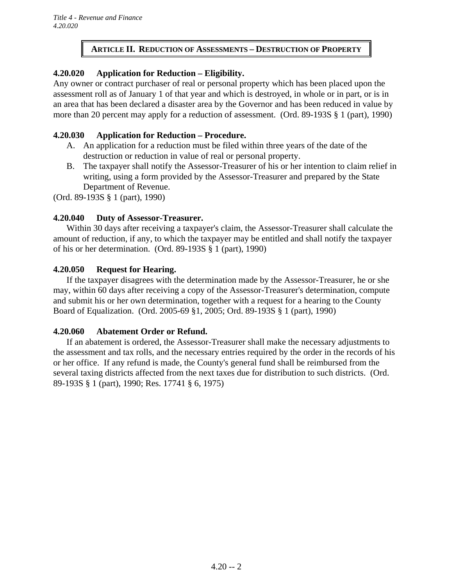### **ARTICLE II. REDUCTION OF ASSESSMENTS – DESTRUCTION OF PROPERTY**

### **4.20.020 Application for Reduction – Eligibility.**

Any owner or contract purchaser of real or personal property which has been placed upon the assessment roll as of January 1 of that year and which is destroyed, in whole or in part, or is in an area that has been declared a disaster area by the Governor and has been reduced in value by more than 20 percent may apply for a reduction of assessment. (Ord. 89-193S § 1 (part), 1990)

### **4.20.030 Application for Reduction – Procedure.**

- A. An application for a reduction must be filed within three years of the date of the destruction or reduction in value of real or personal property.
- B. The taxpayer shall notify the Assessor-Treasurer of his or her intention to claim relief in writing, using a form provided by the Assessor-Treasurer and prepared by the State Department of Revenue.

(Ord. 89-193S § 1 (part), 1990)

### **4.20.040 Duty of Assessor-Treasurer.**

Within 30 days after receiving a taxpayer's claim, the Assessor-Treasurer shall calculate the amount of reduction, if any, to which the taxpayer may be entitled and shall notify the taxpayer of his or her determination. (Ord. 89-193S § 1 (part), 1990)

### **4.20.050 Request for Hearing.**

If the taxpayer disagrees with the determination made by the Assessor-Treasurer, he or she may, within 60 days after receiving a copy of the Assessor-Treasurer's determination, compute and submit his or her own determination, together with a request for a hearing to the County Board of Equalization. (Ord. 2005-69 §1, 2005; Ord. 89-193S § 1 (part), 1990)

### **4.20.060 Abatement Order or Refund.**

If an abatement is ordered, the Assessor-Treasurer shall make the necessary adjustments to the assessment and tax rolls, and the necessary entries required by the order in the records of his or her office. If any refund is made, the County's general fund shall be reimbursed from the several taxing districts affected from the next taxes due for distribution to such districts. (Ord. 89-193S § 1 (part), 1990; Res. 17741 § 6, 1975)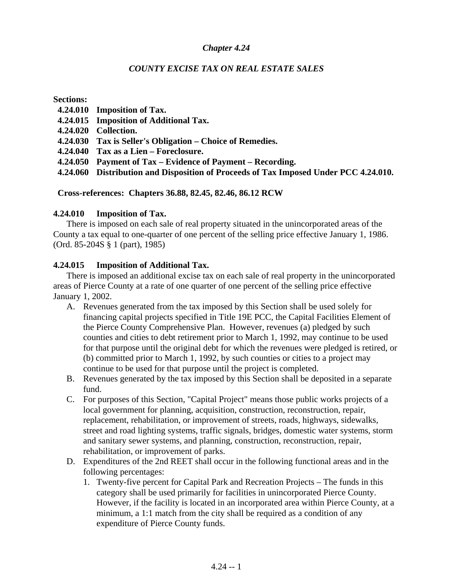### *COUNTY EXCISE TAX ON REAL ESTATE SALES*

**Sections:** 

- **4.24.010 Imposition of Tax.**
- **4.24.015 Imposition of Additional Tax.**
- **4.24.020 Collection.**
- **4.24.030 Tax is Seller's Obligation Choice of Remedies.**
- **4.24.040 Tax as a Lien Foreclosure.**
- **4.24.050 Payment of Tax Evidence of Payment Recording.**
- **4.24.060 Distribution and Disposition of Proceeds of Tax Imposed Under PCC 4.24.010.**

### **Cross-references: Chapters 36.88, 82.45, 82.46, 86.12 RCW**

### **4.24.010 Imposition of Tax.**

There is imposed on each sale of real property situated in the unincorporated areas of the County a tax equal to one-quarter of one percent of the selling price effective January 1, 1986. (Ord. 85-204S § 1 (part), 1985)

### **4.24.015 Imposition of Additional Tax.**

 There is imposed an additional excise tax on each sale of real property in the unincorporated areas of Pierce County at a rate of one quarter of one percent of the selling price effective January 1, 2002.

- A. Revenues generated from the tax imposed by this Section shall be used solely for financing capital projects specified in Title 19E PCC, the Capital Facilities Element of the Pierce County Comprehensive Plan. However, revenues (a) pledged by such counties and cities to debt retirement prior to March 1, 1992, may continue to be used for that purpose until the original debt for which the revenues were pledged is retired, or (b) committed prior to March 1, 1992, by such counties or cities to a project may continue to be used for that purpose until the project is completed.
- B. Revenues generated by the tax imposed by this Section shall be deposited in a separate fund.
- C. For purposes of this Section, "Capital Project" means those public works projects of a local government for planning, acquisition, construction, reconstruction, repair, replacement, rehabilitation, or improvement of streets, roads, highways, sidewalks, street and road lighting systems, traffic signals, bridges, domestic water systems, storm and sanitary sewer systems, and planning, construction, reconstruction, repair, rehabilitation, or improvement of parks.
- D. Expenditures of the 2nd REET shall occur in the following functional areas and in the following percentages:
	- 1. Twenty-five percent for Capital Park and Recreation Projects The funds in this category shall be used primarily for facilities in unincorporated Pierce County. However, if the facility is located in an incorporated area within Pierce County, at a minimum, a 1:1 match from the city shall be required as a condition of any expenditure of Pierce County funds.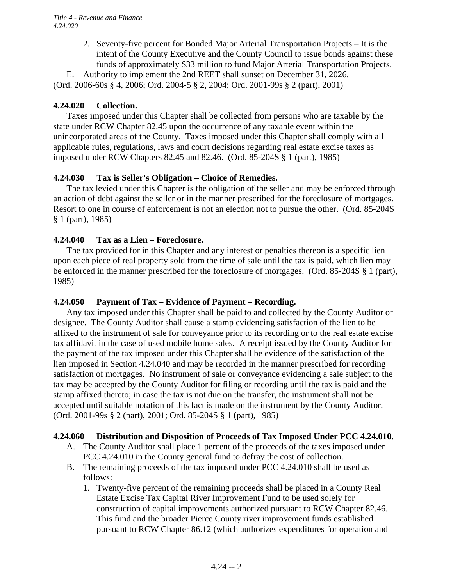2. Seventy-five percent for Bonded Major Arterial Transportation Projects – It is the intent of the County Executive and the County Council to issue bonds against these funds of approximately \$33 million to fund Major Arterial Transportation Projects.

 E. Authority to implement the 2nd REET shall sunset on December 31, 2026. (Ord. 2006-60s § 4, 2006; Ord. 2004-5 § 2, 2004; Ord. 2001-99s § 2 (part), 2001)

### **4.24.020 Collection.**

Taxes imposed under this Chapter shall be collected from persons who are taxable by the state under RCW Chapter 82.45 upon the occurrence of any taxable event within the unincorporated areas of the County. Taxes imposed under this Chapter shall comply with all applicable rules, regulations, laws and court decisions regarding real estate excise taxes as imposed under RCW Chapters 82.45 and 82.46. (Ord. 85-204S § 1 (part), 1985)

### **4.24.030 Tax is Seller's Obligation – Choice of Remedies.**

The tax levied under this Chapter is the obligation of the seller and may be enforced through an action of debt against the seller or in the manner prescribed for the foreclosure of mortgages. Resort to one in course of enforcement is not an election not to pursue the other. (Ord. 85-204S § 1 (part), 1985)

### **4.24.040 Tax as a Lien – Foreclosure.**

The tax provided for in this Chapter and any interest or penalties thereon is a specific lien upon each piece of real property sold from the time of sale until the tax is paid, which lien may be enforced in the manner prescribed for the foreclosure of mortgages. (Ord. 85-204S § 1 (part), 1985)

### **4.24.050 Payment of Tax – Evidence of Payment – Recording.**

Any tax imposed under this Chapter shall be paid to and collected by the County Auditor or designee. The County Auditor shall cause a stamp evidencing satisfaction of the lien to be affixed to the instrument of sale for conveyance prior to its recording or to the real estate excise tax affidavit in the case of used mobile home sales. A receipt issued by the County Auditor for the payment of the tax imposed under this Chapter shall be evidence of the satisfaction of the lien imposed in Section 4.24.040 and may be recorded in the manner prescribed for recording satisfaction of mortgages. No instrument of sale or conveyance evidencing a sale subject to the tax may be accepted by the County Auditor for filing or recording until the tax is paid and the stamp affixed thereto; in case the tax is not due on the transfer, the instrument shall not be accepted until suitable notation of this fact is made on the instrument by the County Auditor. (Ord. 2001-99s § 2 (part), 2001; Ord. 85-204S § 1 (part), 1985)

### **4.24.060 Distribution and Disposition of Proceeds of Tax Imposed Under PCC 4.24.010.**

- A. The County Auditor shall place 1 percent of the proceeds of the taxes imposed under PCC 4.24.010 in the County general fund to defray the cost of collection.
- B. The remaining proceeds of the tax imposed under PCC 4.24.010 shall be used as follows:
	- 1. Twenty-five percent of the remaining proceeds shall be placed in a County Real Estate Excise Tax Capital River Improvement Fund to be used solely for construction of capital improvements authorized pursuant to RCW Chapter 82.46. This fund and the broader Pierce County river improvement funds established pursuant to RCW Chapter 86.12 (which authorizes expenditures for operation and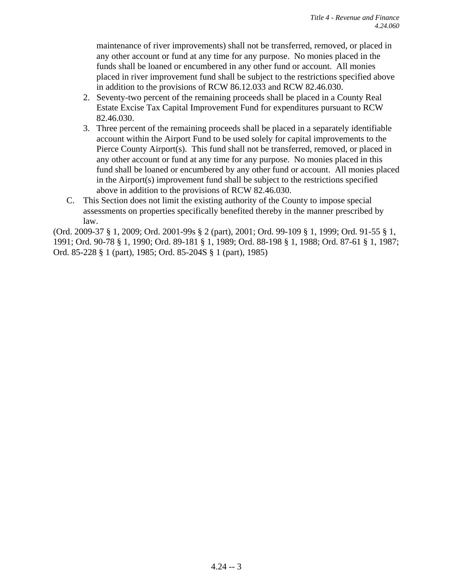maintenance of river improvements) shall not be transferred, removed, or placed in any other account or fund at any time for any purpose. No monies placed in the funds shall be loaned or encumbered in any other fund or account. All monies placed in river improvement fund shall be subject to the restrictions specified above in addition to the provisions of RCW 86.12.033 and RCW 82.46.030.

- 2. Seventy-two percent of the remaining proceeds shall be placed in a County Real Estate Excise Tax Capital Improvement Fund for expenditures pursuant to RCW 82.46.030.
- 3. Three percent of the remaining proceeds shall be placed in a separately identifiable account within the Airport Fund to be used solely for capital improvements to the Pierce County Airport(s). This fund shall not be transferred, removed, or placed in any other account or fund at any time for any purpose. No monies placed in this fund shall be loaned or encumbered by any other fund or account. All monies placed in the Airport(s) improvement fund shall be subject to the restrictions specified above in addition to the provisions of RCW 82.46.030.
- C. This Section does not limit the existing authority of the County to impose special assessments on properties specifically benefited thereby in the manner prescribed by law.

(Ord. 2009-37 § 1, 2009; Ord. 2001-99s § 2 (part), 2001; Ord. 99-109 § 1, 1999; Ord. 91-55 § 1, 1991; Ord. 90-78 § 1, 1990; Ord. 89-181 § 1, 1989; Ord. 88-198 § 1, 1988; Ord. 87-61 § 1, 1987; Ord. 85-228 § 1 (part), 1985; Ord. 85-204S § 1 (part), 1985)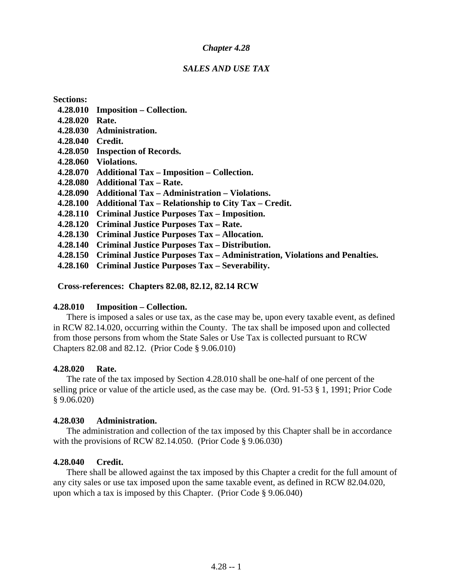#### *SALES AND USE TAX*

**Sections:** 

- **4.28.010 Imposition Collection.**
- **4.28.020 Rate.**
- **4.28.030 Administration.**
- **4.28.040 Credit.**
- **4.28.050 Inspection of Records.**
- **4.28.060 Violations.**
- **4.28.070 Additional Tax Imposition Collection.**
- **4.28.080 Additional Tax Rate.**
- **4.28.090 Additional Tax Administration Violations.**
- **4.28.100 Additional Tax Relationship to City Tax Credit.**
- **4.28.110 Criminal Justice Purposes Tax Imposition.**
- **4.28.120 Criminal Justice Purposes Tax Rate.**
- **4.28.130 Criminal Justice Purposes Tax Allocation.**
- **4.28.140 Criminal Justice Purposes Tax Distribution.**
- **4.28.150 Criminal Justice Purposes Tax Administration, Violations and Penalties.**
- **4.28.160 Criminal Justice Purposes Tax Severability.**

 **Cross-references: Chapters 82.08, 82.12, 82.14 RCW** 

### **4.28.010 Imposition – Collection.**

There is imposed a sales or use tax, as the case may be, upon every taxable event, as defined in RCW 82.14.020, occurring within the County. The tax shall be imposed upon and collected from those persons from whom the State Sales or Use Tax is collected pursuant to RCW Chapters 82.08 and 82.12. (Prior Code § 9.06.010)

#### **4.28.020 Rate.**

The rate of the tax imposed by Section 4.28.010 shall be one-half of one percent of the selling price or value of the article used, as the case may be. (Ord. 91-53 § 1, 1991; Prior Code § 9.06.020)

### **4.28.030 Administration.**

The administration and collection of the tax imposed by this Chapter shall be in accordance with the provisions of RCW 82.14.050. (Prior Code § 9.06.030)

### **4.28.040 Credit.**

There shall be allowed against the tax imposed by this Chapter a credit for the full amount of any city sales or use tax imposed upon the same taxable event, as defined in RCW 82.04.020, upon which a tax is imposed by this Chapter. (Prior Code § 9.06.040)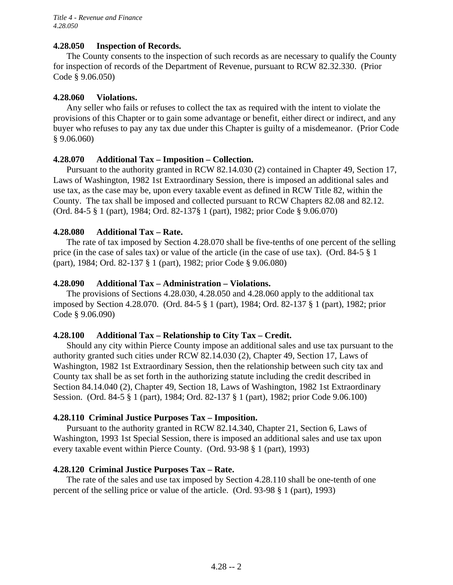### **4.28.050 Inspection of Records.**

The County consents to the inspection of such records as are necessary to qualify the County for inspection of records of the Department of Revenue, pursuant to RCW 82.32.330. (Prior Code § 9.06.050)

### **4.28.060 Violations.**

Any seller who fails or refuses to collect the tax as required with the intent to violate the provisions of this Chapter or to gain some advantage or benefit, either direct or indirect, and any buyer who refuses to pay any tax due under this Chapter is guilty of a misdemeanor. (Prior Code § 9.06.060)

### **4.28.070 Additional Tax – Imposition – Collection.**

Pursuant to the authority granted in RCW 82.14.030 (2) contained in Chapter 49, Section 17, Laws of Washington, 1982 1st Extraordinary Session, there is imposed an additional sales and use tax, as the case may be, upon every taxable event as defined in RCW Title 82, within the County. The tax shall be imposed and collected pursuant to RCW Chapters 82.08 and 82.12. (Ord. 84-5 § 1 (part), 1984; Ord. 82-137§ 1 (part), 1982; prior Code § 9.06.070)

### **4.28.080 Additional Tax – Rate.**

The rate of tax imposed by Section 4.28.070 shall be five-tenths of one percent of the selling price (in the case of sales tax) or value of the article (in the case of use tax). (Ord. 84-5 § 1 (part), 1984; Ord. 82-137 § 1 (part), 1982; prior Code § 9.06.080)

### **4.28.090 Additional Tax – Administration – Violations.**

The provisions of Sections 4.28.030, 4.28.050 and 4.28.060 apply to the additional tax imposed by Section 4.28.070. (Ord. 84-5 § 1 (part), 1984; Ord. 82-137 § 1 (part), 1982; prior Code § 9.06.090)

### **4.28.100 Additional Tax – Relationship to City Tax – Credit.**

Should any city within Pierce County impose an additional sales and use tax pursuant to the authority granted such cities under RCW 82.14.030 (2), Chapter 49, Section 17, Laws of Washington, 1982 1st Extraordinary Session, then the relationship between such city tax and County tax shall be as set forth in the authorizing statute including the credit described in Section 84.14.040 (2), Chapter 49, Section 18, Laws of Washington, 1982 1st Extraordinary Session. (Ord. 84-5 § 1 (part), 1984; Ord. 82-137 § 1 (part), 1982; prior Code 9.06.100)

### **4.28.110 Criminal Justice Purposes Tax – Imposition.**

Pursuant to the authority granted in RCW 82.14.340, Chapter 21, Section 6, Laws of Washington, 1993 1st Special Session, there is imposed an additional sales and use tax upon every taxable event within Pierce County. (Ord. 93-98 § 1 (part), 1993)

### **4.28.120 Criminal Justice Purposes Tax – Rate.**

The rate of the sales and use tax imposed by Section 4.28.110 shall be one-tenth of one percent of the selling price or value of the article. (Ord. 93-98 § 1 (part), 1993)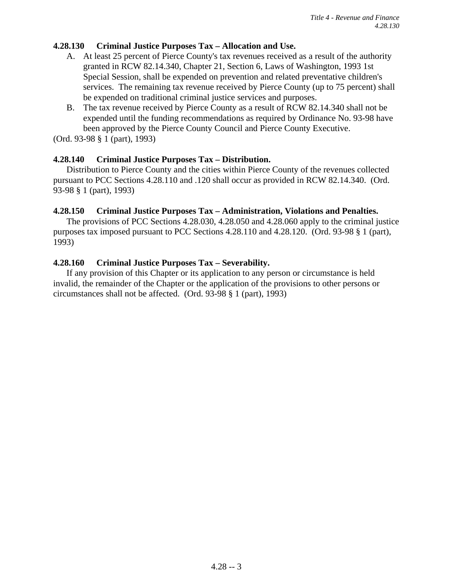### **4.28.130 Criminal Justice Purposes Tax – Allocation and Use.**

- A. At least 25 percent of Pierce County's tax revenues received as a result of the authority granted in RCW 82.14.340, Chapter 21, Section 6, Laws of Washington, 1993 1st Special Session, shall be expended on prevention and related preventative children's services. The remaining tax revenue received by Pierce County (up to 75 percent) shall be expended on traditional criminal justice services and purposes.
- B. The tax revenue received by Pierce County as a result of RCW 82.14.340 shall not be expended until the funding recommendations as required by Ordinance No. 93-98 have been approved by the Pierce County Council and Pierce County Executive.

(Ord. 93-98 § 1 (part), 1993)

### **4.28.140 Criminal Justice Purposes Tax – Distribution.**

Distribution to Pierce County and the cities within Pierce County of the revenues collected pursuant to PCC Sections 4.28.110 and .120 shall occur as provided in RCW 82.14.340. (Ord. 93-98 § 1 (part), 1993)

### **4.28.150 Criminal Justice Purposes Tax – Administration, Violations and Penalties.**

The provisions of PCC Sections 4.28.030, 4.28.050 and 4.28.060 apply to the criminal justice purposes tax imposed pursuant to PCC Sections 4.28.110 and 4.28.120. (Ord. 93-98 § 1 (part), 1993)

### **4.28.160 Criminal Justice Purposes Tax – Severability.**

If any provision of this Chapter or its application to any person or circumstance is held invalid, the remainder of the Chapter or the application of the provisions to other persons or circumstances shall not be affected. (Ord. 93-98 § 1 (part), 1993)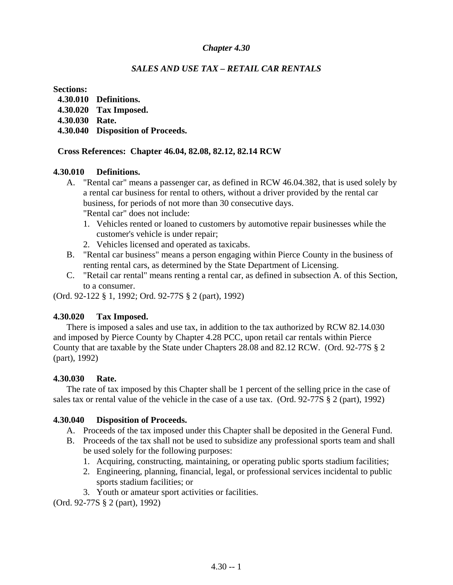### *SALES AND USE TAX – RETAIL CAR RENTALS*

### **Sections:**

- **4.30.010 Definitions.**
- **4.30.020 Tax Imposed.**
- **4.30.030 Rate.**
- **4.30.040 Disposition of Proceeds.**

### **Cross References: Chapter 46.04, 82.08, 82.12, 82.14 RCW**

### **4.30.010 Definitions.**

- A. "Rental car" means a passenger car, as defined in RCW 46.04.382, that is used solely by a rental car business for rental to others, without a driver provided by the rental car business, for periods of not more than 30 consecutive days. "Rental car" does not include:
	- 1. Vehicles rented or loaned to customers by automotive repair businesses while the customer's vehicle is under repair;
	- 2. Vehicles licensed and operated as taxicabs.
- B. "Rental car business" means a person engaging within Pierce County in the business of renting rental cars, as determined by the State Department of Licensing.
- C. "Retail car rental" means renting a rental car, as defined in subsection A. of this Section, to a consumer.

(Ord. 92-122 § 1, 1992; Ord. 92-77S § 2 (part), 1992)

### **4.30.020 Tax Imposed.**

There is imposed a sales and use tax, in addition to the tax authorized by RCW 82.14.030 and imposed by Pierce County by Chapter 4.28 PCC, upon retail car rentals within Pierce County that are taxable by the State under Chapters 28.08 and 82.12 RCW. (Ord. 92-77S § 2 (part), 1992)

### **4.30.030 Rate.**

The rate of tax imposed by this Chapter shall be 1 percent of the selling price in the case of sales tax or rental value of the vehicle in the case of a use tax. (Ord. 92-77S § 2 (part), 1992)

### **4.30.040 Disposition of Proceeds.**

- A. Proceeds of the tax imposed under this Chapter shall be deposited in the General Fund.
- B. Proceeds of the tax shall not be used to subsidize any professional sports team and shall be used solely for the following purposes:
	- 1. Acquiring, constructing, maintaining, or operating public sports stadium facilities;
	- 2. Engineering, planning, financial, legal, or professional services incidental to public sports stadium facilities; or
	- 3. Youth or amateur sport activities or facilities.

(Ord. 92-77S § 2 (part), 1992)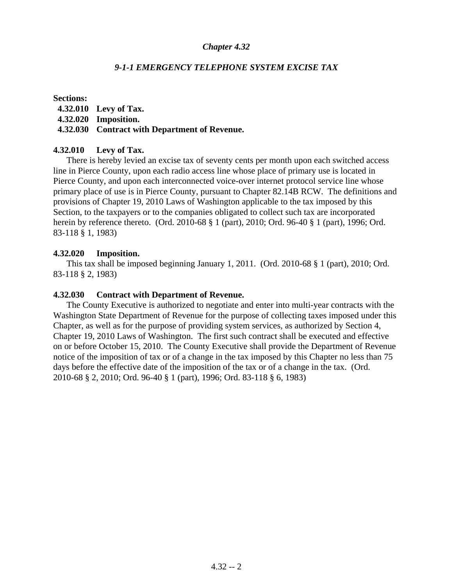### *9-1-1 EMERGENCY TELEPHONE SYSTEM EXCISE TAX*

#### **Sections:**

- **4.32.010 Levy of Tax.**
- **4.32.020 Imposition.**

### **4.32.030 Contract with Department of Revenue.**

### **4.32.010 Levy of Tax.**

There is hereby levied an excise tax of seventy cents per month upon each switched access line in Pierce County, upon each radio access line whose place of primary use is located in Pierce County, and upon each interconnected voice-over internet protocol service line whose primary place of use is in Pierce County, pursuant to Chapter 82.14B RCW. The definitions and provisions of Chapter 19, 2010 Laws of Washington applicable to the tax imposed by this Section, to the taxpayers or to the companies obligated to collect such tax are incorporated herein by reference thereto. (Ord. 2010-68 § 1 (part), 2010; Ord. 96-40 § 1 (part), 1996; Ord. 83-118 § 1, 1983)

### **4.32.020 Imposition.**

This tax shall be imposed beginning January 1, 2011. (Ord. 2010-68 § 1 (part), 2010; Ord. 83-118 § 2, 1983)

### **4.32.030 Contract with Department of Revenue.**

The County Executive is authorized to negotiate and enter into multi-year contracts with the Washington State Department of Revenue for the purpose of collecting taxes imposed under this Chapter, as well as for the purpose of providing system services, as authorized by Section 4, Chapter 19, 2010 Laws of Washington. The first such contract shall be executed and effective on or before October 15, 2010. The County Executive shall provide the Department of Revenue notice of the imposition of tax or of a change in the tax imposed by this Chapter no less than 75 days before the effective date of the imposition of the tax or of a change in the tax. (Ord. 2010-68 § 2, 2010; Ord. 96-40 § 1 (part), 1996; Ord. 83-118 § 6, 1983)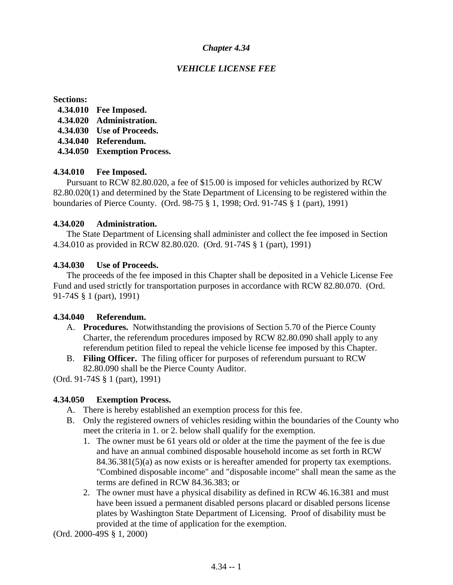### *VEHICLE LICENSE FEE*

#### **Sections:**

- **4.34.010 Fee Imposed.**
- **4.34.020 Administration.**
- **4.34.030 Use of Proceeds.**
- **4.34.040 Referendum.**
- **4.34.050 Exemption Process.**

### **4.34.010 Fee Imposed.**

Pursuant to RCW 82.80.020, a fee of \$15.00 is imposed for vehicles authorized by RCW 82.80.020(1) and determined by the State Department of Licensing to be registered within the boundaries of Pierce County. (Ord. 98-75 § 1, 1998; Ord. 91-74S § 1 (part), 1991)

### **4.34.020 Administration.**

The State Department of Licensing shall administer and collect the fee imposed in Section 4.34.010 as provided in RCW 82.80.020. (Ord. 91-74S § 1 (part), 1991)

### **4.34.030 Use of Proceeds.**

The proceeds of the fee imposed in this Chapter shall be deposited in a Vehicle License Fee Fund and used strictly for transportation purposes in accordance with RCW 82.80.070. (Ord. 91-74S § 1 (part), 1991)

### **4.34.040 Referendum.**

- A. **Procedures.** Notwithstanding the provisions of Section 5.70 of the Pierce County Charter, the referendum procedures imposed by RCW 82.80.090 shall apply to any referendum petition filed to repeal the vehicle license fee imposed by this Chapter.
- B. **Filing Officer.** The filing officer for purposes of referendum pursuant to RCW 82.80.090 shall be the Pierce County Auditor.

(Ord. 91-74S § 1 (part), 1991)

### **4.34.050 Exemption Process.**

- A. There is hereby established an exemption process for this fee.
- B. Only the registered owners of vehicles residing within the boundaries of the County who meet the criteria in 1. or 2. below shall qualify for the exemption.
	- 1. The owner must be 61 years old or older at the time the payment of the fee is due and have an annual combined disposable household income as set forth in RCW 84.36.381(5)(a) as now exists or is hereafter amended for property tax exemptions. "Combined disposable income" and "disposable income" shall mean the same as the terms are defined in RCW 84.36.383; or
	- 2. The owner must have a physical disability as defined in RCW 46.16.381 and must have been issued a permanent disabled persons placard or disabled persons license plates by Washington State Department of Licensing. Proof of disability must be provided at the time of application for the exemption.

(Ord. 2000-49S § 1, 2000)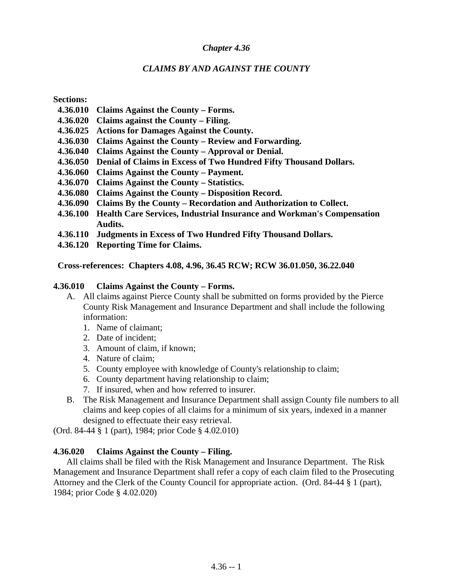### *CLAIMS BY AND AGAINST THE COUNTY*

**Sections:** 

- **4.36.010 Claims Against the County Forms.**
- **4.36.020 Claims against the County Filing.**
- **4.36.025 Actions for Damages Against the County.**
- **4.36.030 Claims Against the County Review and Forwarding.**
- **4.36.040 Claims Against the County Approval or Denial.**
- **4.36.050 Denial of Claims in Excess of Two Hundred Fifty Thousand Dollars.**
- **4.36.060 Claims Against the County Payment.**
- **4.36.070 Claims Against the County Statistics.**
- **4.36.080 Claims Against the County Disposition Record.**
- **4.36.090 Claims By the County Recordation and Authorization to Collect.**
- **4.36.100 Health Care Services, Industrial Insurance and Workman's Compensation Audits.**
- **4.36.110 Judgments in Excess of Two Hundred Fifty Thousand Dollars.**
- **4.36.120 Reporting Time for Claims.**

 **Cross-references: Chapters 4.08, 4.96, 36.45 RCW; RCW 36.01.050, 36.22.040**

#### **4.36.010 Claims Against the County – Forms.**

- A. All claims against Pierce County shall be submitted on forms provided by the Pierce County Risk Management and Insurance Department and shall include the following information:
	- 1. Name of claimant;
	- 2. Date of incident;
	- 3. Amount of claim, if known;
	- 4. Nature of claim;
	- 5. County employee with knowledge of County's relationship to claim;
	- 6. County department having relationship to claim;
	- 7. If insured, when and how referred to insurer.
- B. The Risk Management and Insurance Department shall assign County file numbers to all claims and keep copies of all claims for a minimum of six years, indexed in a manner designed to effectuate their easy retrieval.

(Ord. 84-44 § 1 (part), 1984; prior Code § 4.02.010)

### **4.36.020 Claims Against the County – Filing.**

All claims shall be filed with the Risk Management and Insurance Department. The Risk Management and Insurance Department shall refer a copy of each claim filed to the Prosecuting Attorney and the Clerk of the County Council for appropriate action. (Ord. 84-44 § 1 (part), 1984; prior Code § 4.02.020)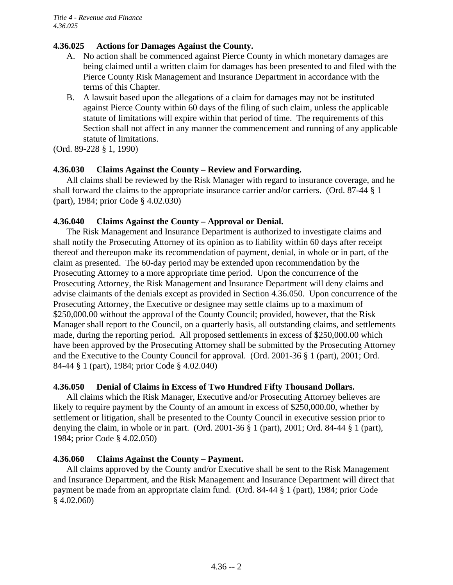# **4.36.025 Actions for Damages Against the County.**

- A. No action shall be commenced against Pierce County in which monetary damages are being claimed until a written claim for damages has been presented to and filed with the Pierce County Risk Management and Insurance Department in accordance with the terms of this Chapter.
- B. A lawsuit based upon the allegations of a claim for damages may not be instituted against Pierce County within 60 days of the filing of such claim, unless the applicable statute of limitations will expire within that period of time. The requirements of this Section shall not affect in any manner the commencement and running of any applicable statute of limitations.

(Ord. 89-228 § 1, 1990)

# **4.36.030 Claims Against the County – Review and Forwarding.**

All claims shall be reviewed by the Risk Manager with regard to insurance coverage, and he shall forward the claims to the appropriate insurance carrier and/or carriers. (Ord. 87-44 § 1 (part), 1984; prior Code § 4.02.030)

# **4.36.040 Claims Against the County – Approval or Denial.**

The Risk Management and Insurance Department is authorized to investigate claims and shall notify the Prosecuting Attorney of its opinion as to liability within 60 days after receipt thereof and thereupon make its recommendation of payment, denial, in whole or in part, of the claim as presented. The 60-day period may be extended upon recommendation by the Prosecuting Attorney to a more appropriate time period. Upon the concurrence of the Prosecuting Attorney, the Risk Management and Insurance Department will deny claims and advise claimants of the denials except as provided in Section 4.36.050. Upon concurrence of the Prosecuting Attorney, the Executive or designee may settle claims up to a maximum of \$250,000.00 without the approval of the County Council; provided, however, that the Risk Manager shall report to the Council, on a quarterly basis, all outstanding claims, and settlements made, during the reporting period. All proposed settlements in excess of \$250,000.00 which have been approved by the Prosecuting Attorney shall be submitted by the Prosecuting Attorney and the Executive to the County Council for approval. (Ord. 2001-36 § 1 (part), 2001; Ord. 84-44 § 1 (part), 1984; prior Code § 4.02.040)

# **4.36.050 Denial of Claims in Excess of Two Hundred Fifty Thousand Dollars.**

All claims which the Risk Manager, Executive and/or Prosecuting Attorney believes are likely to require payment by the County of an amount in excess of \$250,000.00, whether by settlement or litigation, shall be presented to the County Council in executive session prior to denying the claim, in whole or in part. (Ord. 2001-36 § 1 (part), 2001; Ord. 84-44 § 1 (part), 1984; prior Code § 4.02.050)

# **4.36.060 Claims Against the County – Payment.**

All claims approved by the County and/or Executive shall be sent to the Risk Management and Insurance Department, and the Risk Management and Insurance Department will direct that payment be made from an appropriate claim fund. (Ord. 84-44 § 1 (part), 1984; prior Code § 4.02.060)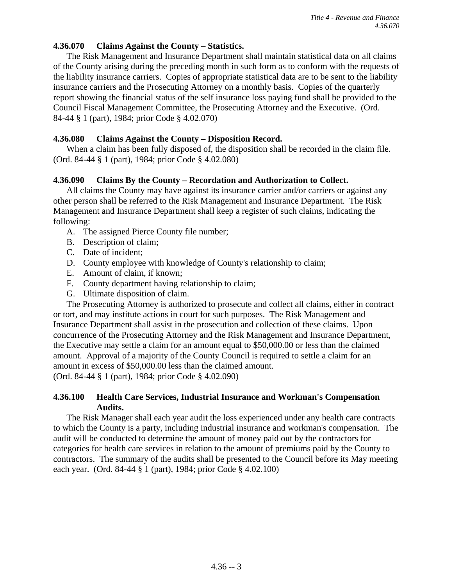### **4.36.070 Claims Against the County – Statistics.**

The Risk Management and Insurance Department shall maintain statistical data on all claims of the County arising during the preceding month in such form as to conform with the requests of the liability insurance carriers. Copies of appropriate statistical data are to be sent to the liability insurance carriers and the Prosecuting Attorney on a monthly basis. Copies of the quarterly report showing the financial status of the self insurance loss paying fund shall be provided to the Council Fiscal Management Committee, the Prosecuting Attorney and the Executive. (Ord. 84-44 § 1 (part), 1984; prior Code § 4.02.070)

### **4.36.080 Claims Against the County – Disposition Record.**

When a claim has been fully disposed of, the disposition shall be recorded in the claim file. (Ord. 84-44 § 1 (part), 1984; prior Code § 4.02.080)

### **4.36.090 Claims By the County – Recordation and Authorization to Collect.**

All claims the County may have against its insurance carrier and/or carriers or against any other person shall be referred to the Risk Management and Insurance Department. The Risk Management and Insurance Department shall keep a register of such claims, indicating the following:

- A. The assigned Pierce County file number;
- B. Description of claim;
- C. Date of incident;
- D. County employee with knowledge of County's relationship to claim;
- E. Amount of claim, if known;
- F. County department having relationship to claim;
- G. Ultimate disposition of claim.

The Prosecuting Attorney is authorized to prosecute and collect all claims, either in contract or tort, and may institute actions in court for such purposes. The Risk Management and Insurance Department shall assist in the prosecution and collection of these claims. Upon concurrence of the Prosecuting Attorney and the Risk Management and Insurance Department, the Executive may settle a claim for an amount equal to \$50,000.00 or less than the claimed amount. Approval of a majority of the County Council is required to settle a claim for an amount in excess of \$50,000.00 less than the claimed amount. (Ord. 84-44 § 1 (part), 1984; prior Code § 4.02.090)

### **4.36.100 Health Care Services, Industrial Insurance and Workman's Compensation Audits.**

The Risk Manager shall each year audit the loss experienced under any health care contracts to which the County is a party, including industrial insurance and workman's compensation. The audit will be conducted to determine the amount of money paid out by the contractors for categories for health care services in relation to the amount of premiums paid by the County to contractors. The summary of the audits shall be presented to the Council before its May meeting each year. (Ord. 84-44 § 1 (part), 1984; prior Code § 4.02.100)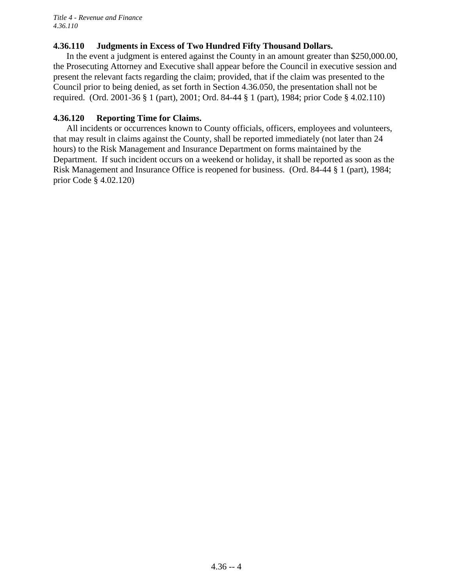### **4.36.110 Judgments in Excess of Two Hundred Fifty Thousand Dollars.**

In the event a judgment is entered against the County in an amount greater than \$250,000.00, the Prosecuting Attorney and Executive shall appear before the Council in executive session and present the relevant facts regarding the claim; provided, that if the claim was presented to the Council prior to being denied, as set forth in Section 4.36.050, the presentation shall not be required. (Ord. 2001-36 § 1 (part), 2001; Ord. 84-44 § 1 (part), 1984; prior Code § 4.02.110)

### **4.36.120 Reporting Time for Claims.**

All incidents or occurrences known to County officials, officers, employees and volunteers, that may result in claims against the County, shall be reported immediately (not later than 24 hours) to the Risk Management and Insurance Department on forms maintained by the Department. If such incident occurs on a weekend or holiday, it shall be reported as soon as the Risk Management and Insurance Office is reopened for business. (Ord. 84-44 § 1 (part), 1984; prior Code § 4.02.120)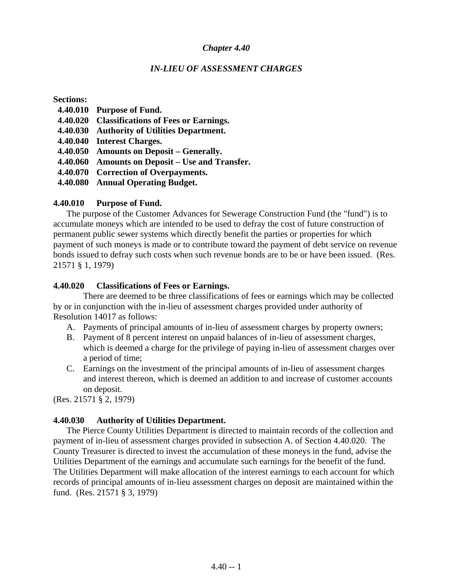#### *IN-LIEU OF ASSESSMENT CHARGES*

#### **Sections:**

- **4.40.010 Purpose of Fund.**
- **4.40.020 Classifications of Fees or Earnings.**
- **4.40.030 Authority of Utilities Department.**
- **4.40.040 Interest Charges.**
- **4.40.050 Amounts on Deposit Generally.**
- **4.40.060 Amounts on Deposit Use and Transfer.**
- **4.40.070 Correction of Overpayments.**
- **4.40.080 Annual Operating Budget.**

#### **4.40.010 Purpose of Fund.**

The purpose of the Customer Advances for Sewerage Construction Fund (the "fund") is to accumulate moneys which are intended to be used to defray the cost of future construction of permanent public sewer systems which directly benefit the parties or properties for which payment of such moneys is made or to contribute toward the payment of debt service on revenue bonds issued to defray such costs when such revenue bonds are to be or have been issued. (Res. 21571 § 1, 1979)

#### **4.40.020 Classifications of Fees or Earnings.**

There are deemed to be three classifications of fees or earnings which may be collected by or in conjunction with the in-lieu of assessment charges provided under authority of Resolution 14017 as follows:

- A. Payments of principal amounts of in-lieu of assessment charges by property owners;
- B. Payment of 8 percent interest on unpaid balances of in-lieu of assessment charges, which is deemed a charge for the privilege of paying in-lieu of assessment charges over a period of time;
- C. Earnings on the investment of the principal amounts of in-lieu of assessment charges and interest thereon, which is deemed an addition to and increase of customer accounts on deposit.

(Res. 21571 § 2, 1979)

### **4.40.030 Authority of Utilities Department.**

The Pierce County Utilities Department is directed to maintain records of the collection and payment of in-lieu of assessment charges provided in subsection A. of Section 4.40.020. The County Treasurer is directed to invest the accumulation of these moneys in the fund, advise the Utilities Department of the earnings and accumulate such earnings for the benefit of the fund. The Utilities Department will make allocation of the interest earnings to each account for which records of principal amounts of in-lieu assessment charges on deposit are maintained within the fund. (Res. 21571 § 3, 1979)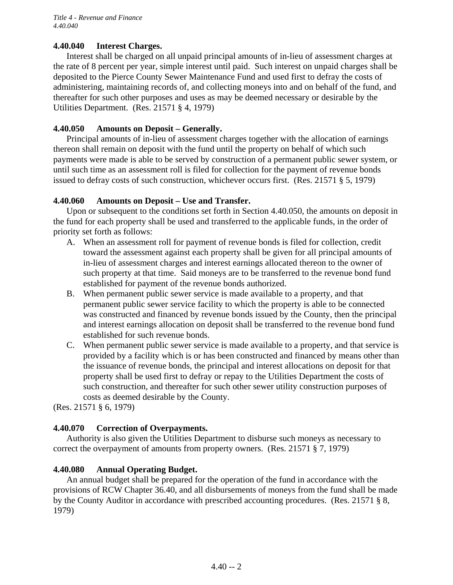### **4.40.040 Interest Charges.**

Interest shall be charged on all unpaid principal amounts of in-lieu of assessment charges at the rate of 8 percent per year, simple interest until paid. Such interest on unpaid charges shall be deposited to the Pierce County Sewer Maintenance Fund and used first to defray the costs of administering, maintaining records of, and collecting moneys into and on behalf of the fund, and thereafter for such other purposes and uses as may be deemed necessary or desirable by the Utilities Department. (Res. 21571 § 4, 1979)

### **4.40.050 Amounts on Deposit – Generally.**

Principal amounts of in-lieu of assessment charges together with the allocation of earnings thereon shall remain on deposit with the fund until the property on behalf of which such payments were made is able to be served by construction of a permanent public sewer system, or until such time as an assessment roll is filed for collection for the payment of revenue bonds issued to defray costs of such construction, whichever occurs first. (Res. 21571 § 5, 1979)

### **4.40.060 Amounts on Deposit – Use and Transfer.**

Upon or subsequent to the conditions set forth in Section 4.40.050, the amounts on deposit in the fund for each property shall be used and transferred to the applicable funds, in the order of priority set forth as follows:

- A. When an assessment roll for payment of revenue bonds is filed for collection, credit toward the assessment against each property shall be given for all principal amounts of in-lieu of assessment charges and interest earnings allocated thereon to the owner of such property at that time. Said moneys are to be transferred to the revenue bond fund established for payment of the revenue bonds authorized.
- B. When permanent public sewer service is made available to a property, and that permanent public sewer service facility to which the property is able to be connected was constructed and financed by revenue bonds issued by the County, then the principal and interest earnings allocation on deposit shall be transferred to the revenue bond fund established for such revenue bonds.
- C. When permanent public sewer service is made available to a property, and that service is provided by a facility which is or has been constructed and financed by means other than the issuance of revenue bonds, the principal and interest allocations on deposit for that property shall be used first to defray or repay to the Utilities Department the costs of such construction, and thereafter for such other sewer utility construction purposes of costs as deemed desirable by the County.

(Res. 21571 § 6, 1979)

### **4.40.070 Correction of Overpayments.**

Authority is also given the Utilities Department to disburse such moneys as necessary to correct the overpayment of amounts from property owners. (Res. 21571 § 7, 1979)

### **4.40.080 Annual Operating Budget.**

An annual budget shall be prepared for the operation of the fund in accordance with the provisions of RCW Chapter 36.40, and all disbursements of moneys from the fund shall be made by the County Auditor in accordance with prescribed accounting procedures. (Res. 21571 § 8, 1979)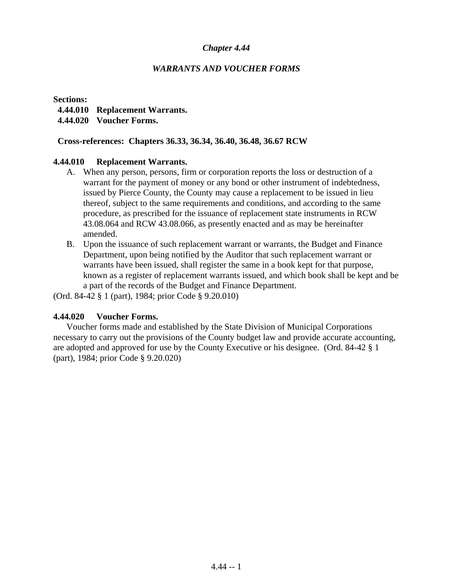### *WARRANTS AND VOUCHER FORMS*

**Sections:** 

- **4.44.010 Replacement Warrants.**
- **4.44.020 Voucher Forms.**

#### **Cross-references: Chapters 36.33, 36.34, 36.40, 36.48, 36.67 RCW**

#### **4.44.010 Replacement Warrants.**

- A. When any person, persons, firm or corporation reports the loss or destruction of a warrant for the payment of money or any bond or other instrument of indebtedness, issued by Pierce County, the County may cause a replacement to be issued in lieu thereof, subject to the same requirements and conditions, and according to the same procedure, as prescribed for the issuance of replacement state instruments in RCW 43.08.064 and RCW 43.08.066, as presently enacted and as may be hereinafter amended.
- B. Upon the issuance of such replacement warrant or warrants, the Budget and Finance Department, upon being notified by the Auditor that such replacement warrant or warrants have been issued, shall register the same in a book kept for that purpose, known as a register of replacement warrants issued, and which book shall be kept and be a part of the records of the Budget and Finance Department.

(Ord. 84-42 § 1 (part), 1984; prior Code § 9.20.010)

### **4.44.020 Voucher Forms.**

Voucher forms made and established by the State Division of Municipal Corporations necessary to carry out the provisions of the County budget law and provide accurate accounting, are adopted and approved for use by the County Executive or his designee. (Ord. 84-42 § 1 (part), 1984; prior Code § 9.20.020)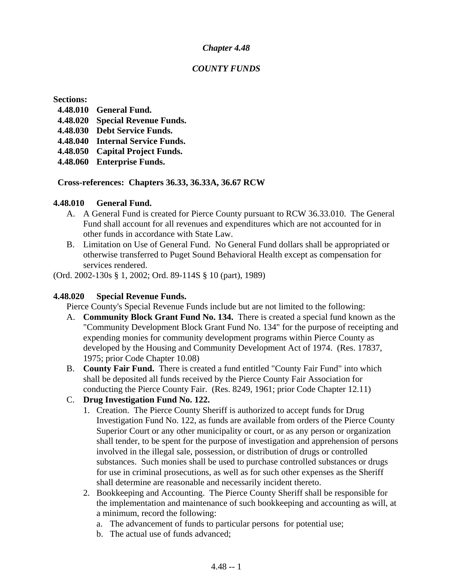### *COUNTY FUNDS*

#### **Sections:**

- **4.48.010 General Fund.**
- **4.48.020 Special Revenue Funds.**
- **4.48.030 Debt Service Funds.**
- **4.48.040 Internal Service Funds.**
- **4.48.050 Capital Project Funds.**
- **4.48.060 Enterprise Funds.**

### **Cross-references: Chapters 36.33, 36.33A, 36.67 RCW**

### **4.48.010 General Fund.**

- A. A General Fund is created for Pierce County pursuant to RCW 36.33.010. The General Fund shall account for all revenues and expenditures which are not accounted for in other funds in accordance with State Law.
- B. Limitation on Use of General Fund. No General Fund dollars shall be appropriated or otherwise transferred to Puget Sound Behavioral Health except as compensation for services rendered.

(Ord. 2002-130s § 1, 2002; Ord. 89-114S § 10 (part), 1989)

### **4.48.020 Special Revenue Funds.**

Pierce County's Special Revenue Funds include but are not limited to the following:

- A. **Community Block Grant Fund No. 134.** There is created a special fund known as the "Community Development Block Grant Fund No. 134" for the purpose of receipting and expending monies for community development programs within Pierce County as developed by the Housing and Community Development Act of 1974. (Res. 17837, 1975; prior Code Chapter 10.08)
- B. **County Fair Fund.** There is created a fund entitled "County Fair Fund" into which shall be deposited all funds received by the Pierce County Fair Association for conducting the Pierce County Fair. (Res. 8249, 1961; prior Code Chapter 12.11)

## C. **Drug Investigation Fund No. 122.**

- 1. Creation. The Pierce County Sheriff is authorized to accept funds for Drug Investigation Fund No. 122, as funds are available from orders of the Pierce County Superior Court or any other municipality or court, or as any person or organization shall tender, to be spent for the purpose of investigation and apprehension of persons involved in the illegal sale, possession, or distribution of drugs or controlled substances. Such monies shall be used to purchase controlled substances or drugs for use in criminal prosecutions, as well as for such other expenses as the Sheriff shall determine are reasonable and necessarily incident thereto.
- 2. Bookkeeping and Accounting. The Pierce County Sheriff shall be responsible for the implementation and maintenance of such bookkeeping and accounting as will, at a minimum, record the following:
	- a. The advancement of funds to particular persons for potential use;
	- b. The actual use of funds advanced;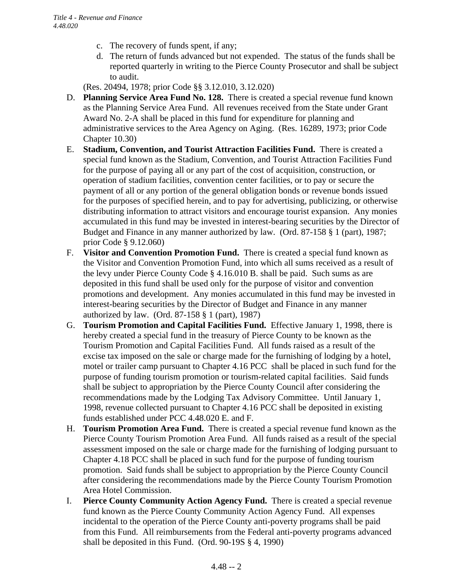- c. The recovery of funds spent, if any;
- d. The return of funds advanced but not expended. The status of the funds shall be reported quarterly in writing to the Pierce County Prosecutor and shall be subject to audit.

(Res. 20494, 1978; prior Code §§ 3.12.010, 3.12.020)

- D. **Planning Service Area Fund No. 128.** There is created a special revenue fund known as the Planning Service Area Fund. All revenues received from the State under Grant Award No. 2-A shall be placed in this fund for expenditure for planning and administrative services to the Area Agency on Aging. (Res. 16289, 1973; prior Code Chapter 10.30)
- E. **Stadium, Convention, and Tourist Attraction Facilities Fund.** There is created a special fund known as the Stadium, Convention, and Tourist Attraction Facilities Fund for the purpose of paying all or any part of the cost of acquisition, construction, or operation of stadium facilities, convention center facilities, or to pay or secure the payment of all or any portion of the general obligation bonds or revenue bonds issued for the purposes of specified herein, and to pay for advertising, publicizing, or otherwise distributing information to attract visitors and encourage tourist expansion. Any monies accumulated in this fund may be invested in interest-bearing securities by the Director of Budget and Finance in any manner authorized by law. (Ord. 87-158 § 1 (part), 1987; prior Code § 9.12.060)
- F. **Visitor and Convention Promotion Fund.** There is created a special fund known as the Visitor and Convention Promotion Fund, into which all sums received as a result of the levy under Pierce County Code § 4.16.010 B. shall be paid. Such sums as are deposited in this fund shall be used only for the purpose of visitor and convention promotions and development. Any monies accumulated in this fund may be invested in interest-bearing securities by the Director of Budget and Finance in any manner authorized by law. (Ord. 87-158 § 1 (part), 1987)
- G. **Tourism Promotion and Capital Facilities Fund.** Effective January 1, 1998, there is hereby created a special fund in the treasury of Pierce County to be known as the Tourism Promotion and Capital Facilities Fund. All funds raised as a result of the excise tax imposed on the sale or charge made for the furnishing of lodging by a hotel, motel or trailer camp pursuant to Chapter 4.16 PCC shall be placed in such fund for the purpose of funding tourism promotion or tourism-related capital facilities. Said funds shall be subject to appropriation by the Pierce County Council after considering the recommendations made by the Lodging Tax Advisory Committee. Until January 1, 1998, revenue collected pursuant to Chapter 4.16 PCC shall be deposited in existing funds established under PCC 4.48.020 E. and F.
- H. **Tourism Promotion Area Fund.** There is created a special revenue fund known as the Pierce County Tourism Promotion Area Fund. All funds raised as a result of the special assessment imposed on the sale or charge made for the furnishing of lodging pursuant to Chapter 4.18 PCC shall be placed in such fund for the purpose of funding tourism promotion. Said funds shall be subject to appropriation by the Pierce County Council after considering the recommendations made by the Pierce County Tourism Promotion Area Hotel Commission.
- I. **Pierce County Community Action Agency Fund.** There is created a special revenue fund known as the Pierce County Community Action Agency Fund. All expenses incidental to the operation of the Pierce County anti-poverty programs shall be paid from this Fund. All reimbursements from the Federal anti-poverty programs advanced shall be deposited in this Fund. (Ord. 90-19S § 4, 1990)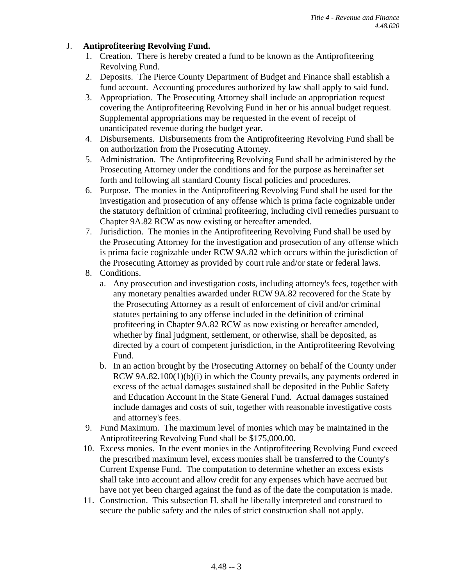### J. **Antiprofiteering Revolving Fund.**

- 1. Creation. There is hereby created a fund to be known as the Antiprofiteering Revolving Fund.
- 2. Deposits. The Pierce County Department of Budget and Finance shall establish a fund account. Accounting procedures authorized by law shall apply to said fund.
- 3. Appropriation. The Prosecuting Attorney shall include an appropriation request covering the Antiprofiteering Revolving Fund in her or his annual budget request. Supplemental appropriations may be requested in the event of receipt of unanticipated revenue during the budget year.
- 4. Disbursements. Disbursements from the Antiprofiteering Revolving Fund shall be on authorization from the Prosecuting Attorney.
- 5. Administration. The Antiprofiteering Revolving Fund shall be administered by the Prosecuting Attorney under the conditions and for the purpose as hereinafter set forth and following all standard County fiscal policies and procedures.
- 6. Purpose. The monies in the Antiprofiteering Revolving Fund shall be used for the investigation and prosecution of any offense which is prima facie cognizable under the statutory definition of criminal profiteering, including civil remedies pursuant to Chapter 9A.82 RCW as now existing or hereafter amended.
- 7. Jurisdiction. The monies in the Antiprofiteering Revolving Fund shall be used by the Prosecuting Attorney for the investigation and prosecution of any offense which is prima facie cognizable under RCW 9A.82 which occurs within the jurisdiction of the Prosecuting Attorney as provided by court rule and/or state or federal laws.
- 8. Conditions.
	- a. Any prosecution and investigation costs, including attorney's fees, together with any monetary penalties awarded under RCW 9A.82 recovered for the State by the Prosecuting Attorney as a result of enforcement of civil and/or criminal statutes pertaining to any offense included in the definition of criminal profiteering in Chapter 9A.82 RCW as now existing or hereafter amended, whether by final judgment, settlement, or otherwise, shall be deposited, as directed by a court of competent jurisdiction, in the Antiprofiteering Revolving Fund.
	- b. In an action brought by the Prosecuting Attorney on behalf of the County under RCW 9A.82.100(1)(b)(i) in which the County prevails, any payments ordered in excess of the actual damages sustained shall be deposited in the Public Safety and Education Account in the State General Fund. Actual damages sustained include damages and costs of suit, together with reasonable investigative costs and attorney's fees.
- 9. Fund Maximum. The maximum level of monies which may be maintained in the Antiprofiteering Revolving Fund shall be \$175,000.00.
- 10. Excess monies. In the event monies in the Antiprofiteering Revolving Fund exceed the prescribed maximum level, excess monies shall be transferred to the County's Current Expense Fund. The computation to determine whether an excess exists shall take into account and allow credit for any expenses which have accrued but have not yet been charged against the fund as of the date the computation is made.
- 11. Construction. This subsection H. shall be liberally interpreted and construed to secure the public safety and the rules of strict construction shall not apply.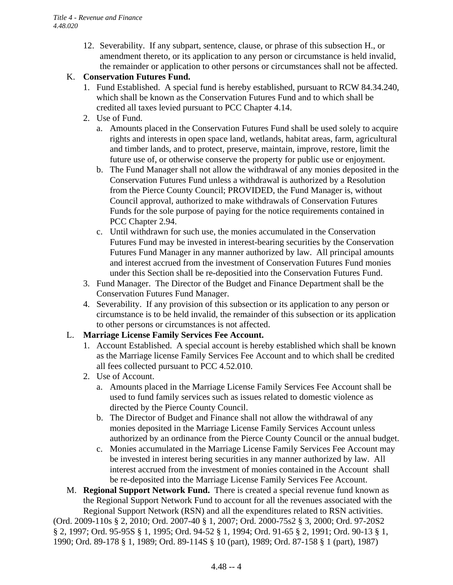12. Severability. If any subpart, sentence, clause, or phrase of this subsection H., or amendment thereto, or its application to any person or circumstance is held invalid, the remainder or application to other persons or circumstances shall not be affected.

### K. **Conservation Futures Fund.**

- 1. Fund Established. A special fund is hereby established, pursuant to RCW 84.34.240, which shall be known as the Conservation Futures Fund and to which shall be credited all taxes levied pursuant to PCC Chapter 4.14.
- 2. Use of Fund.
	- a. Amounts placed in the Conservation Futures Fund shall be used solely to acquire rights and interests in open space land, wetlands, habitat areas, farm, agricultural and timber lands, and to protect, preserve, maintain, improve, restore, limit the future use of, or otherwise conserve the property for public use or enjoyment.
	- b. The Fund Manager shall not allow the withdrawal of any monies deposited in the Conservation Futures Fund unless a withdrawal is authorized by a Resolution from the Pierce County Council; PROVIDED, the Fund Manager is, without Council approval, authorized to make withdrawals of Conservation Futures Funds for the sole purpose of paying for the notice requirements contained in PCC Chapter 2.94.
	- c. Until withdrawn for such use, the monies accumulated in the Conservation Futures Fund may be invested in interest-bearing securities by the Conservation Futures Fund Manager in any manner authorized by law. All principal amounts and interest accrued from the investment of Conservation Futures Fund monies under this Section shall be re-depositied into the Conservation Futures Fund.
- 3. Fund Manager. The Director of the Budget and Finance Department shall be the Conservation Futures Fund Manager.
- 4. Severability. If any provision of this subsection or its application to any person or circumstance is to be held invalid, the remainder of this subsection or its application to other persons or circumstances is not affected.

### L. **Marriage License Family Services Fee Account.**

- 1. Account Established. A special account is hereby established which shall be known as the Marriage license Family Services Fee Account and to which shall be credited all fees collected pursuant to PCC 4.52.010.
- 2. Use of Account.
	- a. Amounts placed in the Marriage License Family Services Fee Account shall be used to fund family services such as issues related to domestic violence as directed by the Pierce County Council.
	- b. The Director of Budget and Finance shall not allow the withdrawal of any monies deposited in the Marriage License Family Services Account unless authorized by an ordinance from the Pierce County Council or the annual budget.
	- c. Monies accumulated in the Marriage License Family Services Fee Account may be invested in interest bering securities in any manner authorized by law. All interest accrued from the investment of monies contained in the Account shall be re-deposited into the Marriage License Family Services Fee Account.
- M. **Regional Support Network Fund.** There is created a special revenue fund known as the Regional Support Network Fund to account for all the revenues associated with the Regional Support Network (RSN) and all the expenditures related to RSN activities.

(Ord. 2009-110s § 2, 2010; Ord. 2007-40 § 1, 2007; Ord. 2000-75s2 § 3, 2000; Ord. 97-20S2 § 2, 1997; Ord. 95-95S § 1, 1995; Ord. 94-52 § 1, 1994; Ord. 91-65 § 2, 1991; Ord. 90-13 § 1, 1990; Ord. 89-178 § 1, 1989; Ord. 89-114S § 10 (part), 1989; Ord. 87-158 § 1 (part), 1987)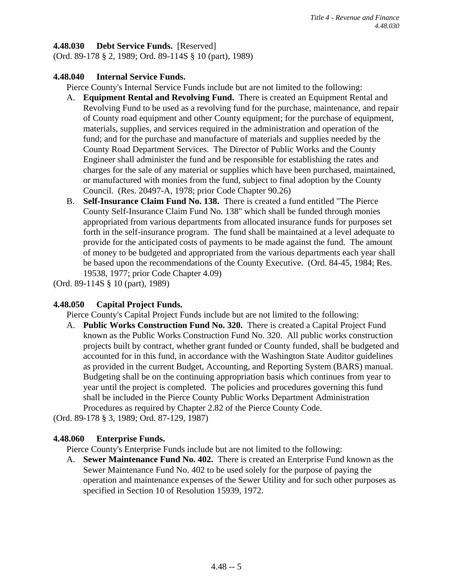### **4.48.030 Debt Service Funds.** [Reserved]

(Ord. 89-178 § 2, 1989; Ord. 89-114S § 10 (part), 1989)

### **4.48.040 Internal Service Funds.**

Pierce County's Internal Service Funds include but are not limited to the following:

- A. **Equipment Rental and Revolving Fund.** There is created an Equipment Rental and Revolving Fund to be used as a revolving fund for the purchase, maintenance, and repair of County road equipment and other County equipment; for the purchase of equipment, materials, supplies, and services required in the administration and operation of the fund; and for the purchase and manufacture of materials and supplies needed by the County Road Department Services. The Director of Public Works and the County Engineer shall administer the fund and be responsible for establishing the rates and charges for the sale of any material or supplies which have been purchased, maintained, or manufactured with monies from the fund, subject to final adoption by the County Council. (Res. 20497-A, 1978; prior Code Chapter 90.26)
- B. **Self-Insurance Claim Fund No. 138.** There is created a fund entitled "The Pierce County Self-Insurance Claim Fund No. 138" which shall be funded through monies appropriated from various departments from allocated insurance funds for purposes set forth in the self-insurance program. The fund shall be maintained at a level adequate to provide for the anticipated costs of payments to be made against the fund. The amount of money to be budgeted and appropriated from the various departments each year shall be based upon the recommendations of the County Executive. (Ord. 84-45, 1984; Res. 19538, 1977; prior Code Chapter 4.09)

(Ord. 89-114S § 10 (part), 1989)

### **4.48.050 Capital Project Funds.**

Pierce County's Capital Project Funds include but are not limited to the following:

A. **Public Works Construction Fund No. 320.** There is created a Capital Project Fund known as the Public Works Construction Fund No. 320. All public works construction projects built by contract, whether grant funded or County funded, shall be budgeted and accounted for in this fund, in accordance with the Washington State Auditor guidelines as provided in the current Budget, Accounting, and Reporting System (BARS) manual. Budgeting shall be on the continuing appropriation basis which continues from year to year until the project is completed. The policies and procedures governing this fund shall be included in the Pierce County Public Works Department Administration Procedures as required by Chapter 2.82 of the Pierce County Code.

(Ord. 89-178 § 3, 1989; Ord. 87-129, 1987)

### **4.48.060 Enterprise Funds.**

Pierce County's Enterprise Funds include but are not limited to the following:

A. **Sewer Maintenance Fund No. 402.** There is created an Enterprise Fund known as the Sewer Maintenance Fund No. 402 to be used solely for the purpose of paying the operation and maintenance expenses of the Sewer Utility and for such other purposes as specified in Section 10 of Resolution 15939, 1972.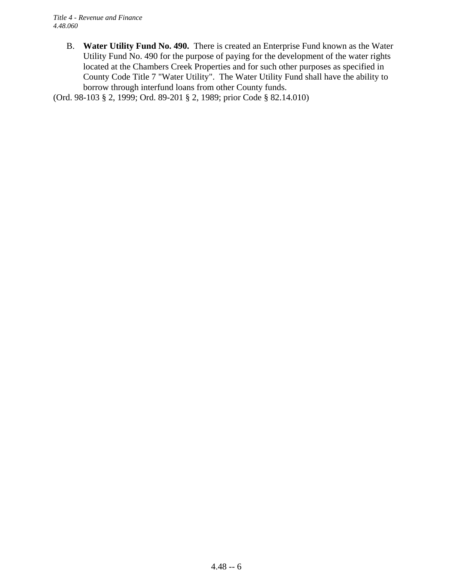B. **Water Utility Fund No. 490.** There is created an Enterprise Fund known as the Water Utility Fund No. 490 for the purpose of paying for the development of the water rights located at the Chambers Creek Properties and for such other purposes as specified in County Code Title 7 "Water Utility". The Water Utility Fund shall have the ability to borrow through interfund loans from other County funds.

(Ord. 98-103 § 2, 1999; Ord. 89-201 § 2, 1989; prior Code § 82.14.010)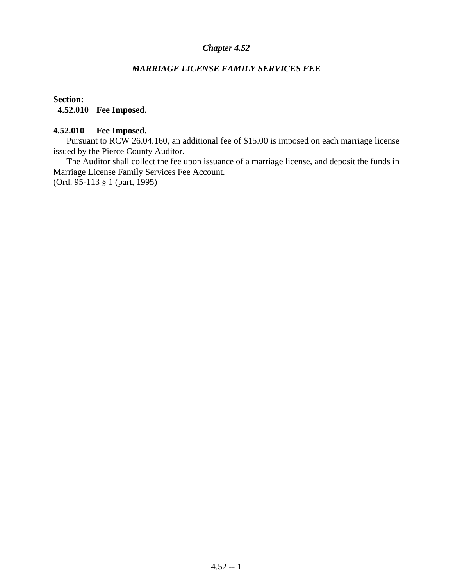### *MARRIAGE LICENSE FAMILY SERVICES FEE*

### **Section: 4.52.010 Fee Imposed.**

### **4.52.010 Fee Imposed.**

Pursuant to RCW 26.04.160, an additional fee of \$15.00 is imposed on each marriage license issued by the Pierce County Auditor.

The Auditor shall collect the fee upon issuance of a marriage license, and deposit the funds in Marriage License Family Services Fee Account. (Ord. 95-113 § 1 (part, 1995)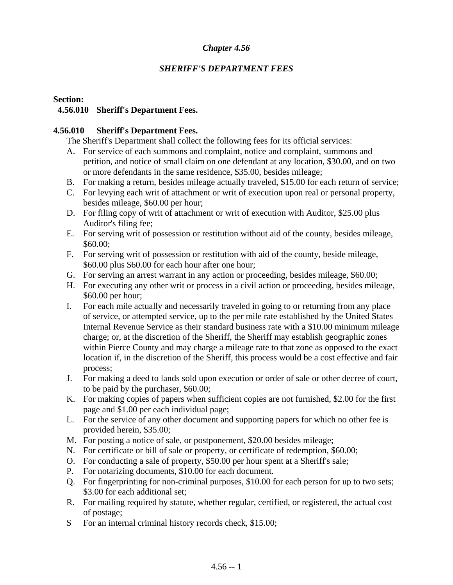### *SHERIFF'S DEPARTMENT FEES*

### **Section:**

### **4.56.010 Sheriff's Department Fees.**

### **4.56.010 Sheriff's Department Fees.**

The Sheriff's Department shall collect the following fees for its official services:

- A. For service of each summons and complaint, notice and complaint, summons and petition, and notice of small claim on one defendant at any location, \$30.00, and on two or more defendants in the same residence, \$35.00, besides mileage;
- B. For making a return, besides mileage actually traveled, \$15.00 for each return of service;
- C. For levying each writ of attachment or writ of execution upon real or personal property, besides mileage, \$60.00 per hour;
- D. For filing copy of writ of attachment or writ of execution with Auditor, \$25.00 plus Auditor's filing fee;
- E. For serving writ of possession or restitution without aid of the county, besides mileage, \$60.00;
- F. For serving writ of possession or restitution with aid of the county, beside mileage, \$60.00 plus \$60.00 for each hour after one hour;
- G. For serving an arrest warrant in any action or proceeding, besides mileage, \$60.00;
- H. For executing any other writ or process in a civil action or proceeding, besides mileage, \$60.00 per hour;
- I. For each mile actually and necessarily traveled in going to or returning from any place of service, or attempted service, up to the per mile rate established by the United States Internal Revenue Service as their standard business rate with a \$10.00 minimum mileage charge; or, at the discretion of the Sheriff, the Sheriff may establish geographic zones within Pierce County and may charge a mileage rate to that zone as opposed to the exact location if, in the discretion of the Sheriff, this process would be a cost effective and fair process;
- J. For making a deed to lands sold upon execution or order of sale or other decree of court, to be paid by the purchaser, \$60.00;
- K. For making copies of papers when sufficient copies are not furnished, \$2.00 for the first page and \$1.00 per each individual page;
- L. For the service of any other document and supporting papers for which no other fee is provided herein, \$35.00;
- M. For posting a notice of sale, or postponement, \$20.00 besides mileage;
- N. For certificate or bill of sale or property, or certificate of redemption, \$60.00;
- O. For conducting a sale of property, \$50.00 per hour spent at a Sheriff's sale;
- P. For notarizing documents, \$10.00 for each document.
- Q. For fingerprinting for non-criminal purposes, \$10.00 for each person for up to two sets; \$3.00 for each additional set;
- R. For mailing required by statute, whether regular, certified, or registered, the actual cost of postage;
- S For an internal criminal history records check, \$15.00;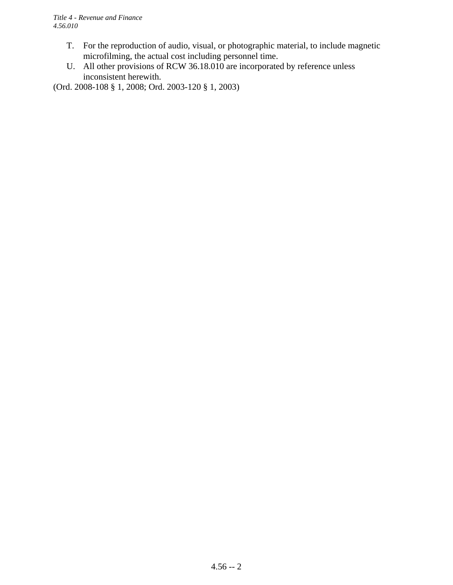- T. For the reproduction of audio, visual, or photographic material, to include magnetic microfilming, the actual cost including personnel time.
- U. All other provisions of RCW 36.18.010 are incorporated by reference unless inconsistent herewith.

(Ord. 2008-108 § 1, 2008; Ord. 2003-120 § 1, 2003)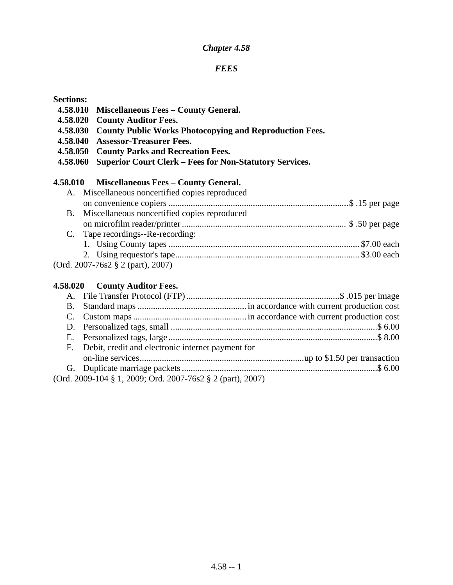#### *FEES*

#### **Sections:**

- **4.58.010 Miscellaneous Fees County General.**
- **4.58.020 County Auditor Fees.**
- **4.58.030 County Public Works Photocopying and Reproduction Fees.**
- **4.58.040 Assessor-Treasurer Fees.**
- **4.58.050 County Parks and Recreation Fees.**
- **4.58.060 Superior Court Clerk Fees for Non-Statutory Services.**

### **4.58.010 Miscellaneous Fees – County General.**

| A. Miscellaneous noncertified copies reproduced |  |
|-------------------------------------------------|--|
|                                                 |  |
| B. Miscellaneous noncertified copies reproduced |  |
|                                                 |  |
| C. Tape recordings--Re-recording:               |  |
|                                                 |  |
|                                                 |  |
| $(Ord. 2007-76s2 \t\S 2 (part), 2007)$          |  |

#### **4.58.020 County Auditor Fees.**

| F. Debit, credit and electronic internet payment for       |  |
|------------------------------------------------------------|--|
|                                                            |  |
|                                                            |  |
| (Ord. 2009-104 § 1, 2009; Ord. 2007-76s2 § 2 (part), 2007) |  |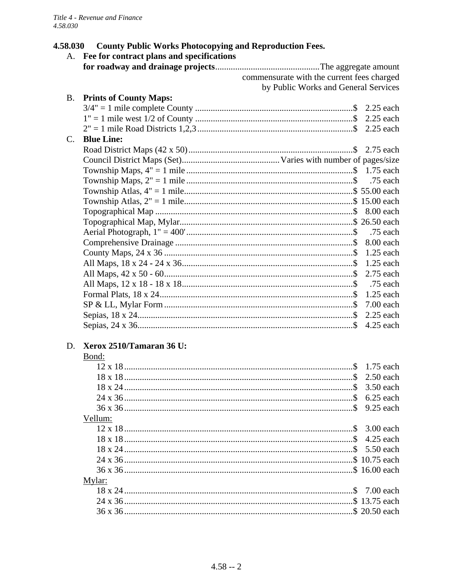#### **County Public Works Photocopying and Reproduction Fees.** 4.58.030

|             | A. Fee for contract plans and specifications |                                            |           |
|-------------|----------------------------------------------|--------------------------------------------|-----------|
|             |                                              |                                            |           |
|             |                                              | commensurate with the current fees charged |           |
|             |                                              | by Public Works and General Services       |           |
| <b>B.</b>   | <b>Prints of County Maps:</b>                |                                            |           |
|             |                                              |                                            |           |
|             |                                              |                                            |           |
|             |                                              |                                            |           |
| $C_{\cdot}$ | <b>Blue Line:</b>                            |                                            |           |
|             |                                              |                                            |           |
|             |                                              |                                            |           |
|             |                                              |                                            |           |
|             |                                              |                                            | .75 each  |
|             |                                              |                                            |           |
|             |                                              |                                            |           |
|             |                                              |                                            |           |
|             |                                              |                                            |           |
|             |                                              |                                            |           |
|             |                                              |                                            | 8.00 each |
|             |                                              |                                            |           |
|             |                                              |                                            |           |
|             |                                              |                                            |           |
|             |                                              |                                            |           |
|             |                                              |                                            |           |
|             |                                              |                                            | 7.00 each |
|             |                                              |                                            |           |
|             |                                              |                                            | 4.25 each |
| D.          | Xerox 2510/Tamaran 36 U:                     |                                            |           |
|             | Bond:                                        |                                            |           |
|             |                                              |                                            |           |
|             |                                              |                                            |           |

| Vellum: |  |
|---------|--|
|         |  |
|         |  |
|         |  |
|         |  |
|         |  |
| Mylar:  |  |
|         |  |
|         |  |
|         |  |
|         |  |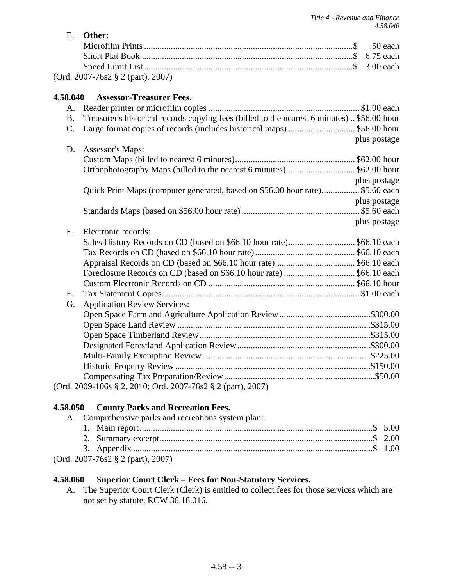*Title 4 - Revenue and Finance*

|                 |                                                                                             | 4.58.040     |
|-----------------|---------------------------------------------------------------------------------------------|--------------|
| E.              | Other:                                                                                      | $.50$ each   |
|                 |                                                                                             |              |
|                 |                                                                                             |              |
|                 | (Ord. 2007-76s2 § 2 (part), 2007)                                                           |              |
| 4.58.040        | <b>Assessor-Treasurer Fees.</b>                                                             |              |
| Α.              |                                                                                             |              |
| <b>B.</b>       | Treasurer's historical records copying fees (billed to the nearest 6 minutes). \$56.00 hour |              |
| $\mathcal{C}$ . | Large format copies of records (includes historical maps)  \$56.00 hour                     |              |
|                 |                                                                                             | plus postage |
| D.              | Assessor's Maps:                                                                            |              |
|                 |                                                                                             |              |
|                 | Orthophotography Maps (billed to the nearest 6 minutes)\$62.00 hour                         |              |
|                 |                                                                                             | plus postage |
|                 | Quick Print Maps (computer generated, based on \$56.00 hour rate) \$5.60 each               |              |
|                 |                                                                                             | plus postage |
|                 |                                                                                             |              |
|                 |                                                                                             | plus postage |
| E.              | Electronic records:                                                                         |              |
|                 |                                                                                             |              |
|                 |                                                                                             |              |
|                 |                                                                                             |              |
|                 |                                                                                             |              |
|                 |                                                                                             |              |
| F.              |                                                                                             |              |
| G.              | <b>Application Review Services:</b>                                                         |              |
|                 |                                                                                             |              |
|                 |                                                                                             |              |
|                 |                                                                                             |              |
|                 |                                                                                             |              |
|                 |                                                                                             |              |
|                 |                                                                                             |              |
|                 |                                                                                             |              |
|                 | (Ord. 2009-106s § 2, 2010; Ord. 2007-76s2 § 2 (part), 2007)                                 |              |
|                 |                                                                                             |              |

# **4.58.050 County Parks and Recreation Fees.**

| A. Comprehensive parks and recreations system plan: |  |
|-----------------------------------------------------|--|
|                                                     |  |
|                                                     |  |
|                                                     |  |
| $(Ord. 2007-76s2 \t{3} 2 (part), 2007)$             |  |

### **4.58.060 Superior Court Clerk – Fees for Non-Statutory Services.**

A. The Superior Court Clerk (Clerk) is entitled to collect fees for those services which are not set by statute, RCW 36.18.016.